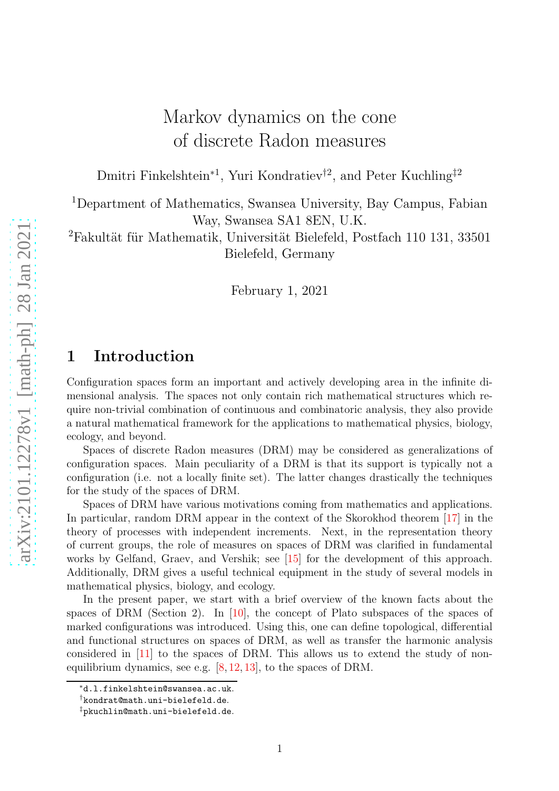# Markov dynamics on the cone of discrete Radon measures

Dmitri Finkelshtein<sup>∗1</sup>, Yuri Kondratiev<sup>†2</sup>, and Peter Kuchling<sup>‡2</sup>

<sup>1</sup>Department of Mathematics, Swansea University, Bay Campus, Fabian Way, Swansea SA1 8EN, U.K.

<sup>2</sup>Fakultät für Mathematik, Universität Bielefeld, Postfach 110 131, 33501 Bielefeld, Germany

February 1, 2021

# 1 Introduction

Configuration spaces form an important and actively developing area in the infinite dimensional analysis. The spaces not only contain rich mathematical structures which require non-trivial combination of continuous and combinatoric analysis, they also provide a natural mathematical framework for the applications to mathematical physics, biology, ecology, and beyond.

Spaces of discrete Radon measures (DRM) may be considered as generalizations of configuration spaces. Main peculiarity of a DRM is that its support is typically not a configuration (i.e. not a locally finite set). The latter changes drastically the techniques for the study of the spaces of DRM.

Spaces of DRM have various motivations coming from mathematics and applications. In particular, random DRM appear in the context of the Skorokhod theorem [\[17\]](#page-20-0) in the theory of processes with independent increments. Next, in the representation theory of current groups, the role of measures on spaces of DRM was clarified in fundamental works by Gelfand, Graev, and Vershik; see [\[15\]](#page-20-1) for the development of this approach. Additionally, DRM gives a useful technical equipment in the study of several models in mathematical physics, biology, and ecology.

In the present paper, we start with a brief overview of the known facts about the spaces of DRM (Section 2). In [\[10\]](#page-20-2), the concept of Plato subspaces of the spaces of marked configurations was introduced. Using this, one can define topological, differential and functional structures on spaces of DRM, as well as transfer the harmonic analysis considered in [\[11\]](#page-20-3) to the spaces of DRM. This allows us to extend the study of nonequilibrium dynamics, see e.g. [\[8,](#page-19-0) [12,](#page-20-4) [13\]](#page-20-5), to the spaces of DRM.

<sup>∗</sup>d.l.finkelshtein@swansea.ac.uk.

<sup>†</sup>kondrat@math.uni-bielefeld.de.

<sup>‡</sup>pkuchlin@math.uni-bielefeld.de.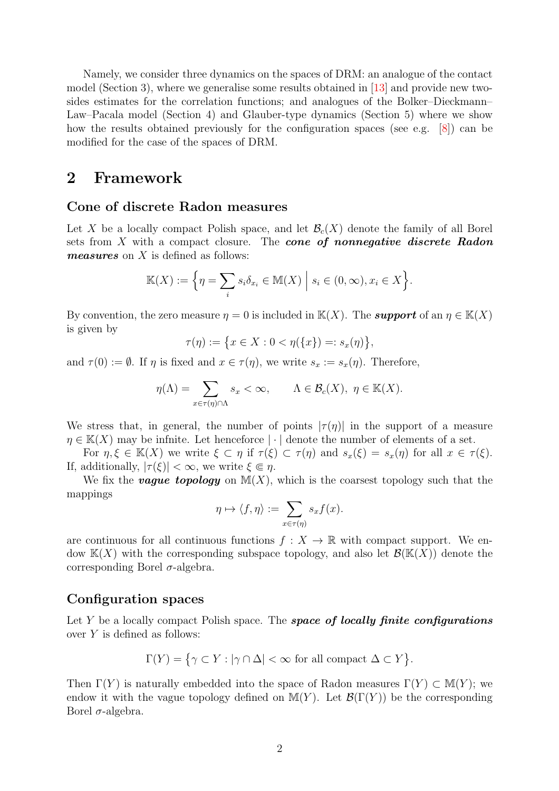Namely, we consider three dynamics on the spaces of DRM: an analogue of the contact model (Section 3), where we generalise some results obtained in [\[13\]](#page-20-5) and provide new twosides estimates for the correlation functions; and analogues of the Bolker–Dieckmann– Law–Pacala model (Section 4) and Glauber-type dynamics (Section 5) where we show how the results obtained previously for the configuration spaces (see e.g. [\[8\]](#page-19-0)) can be modified for the case of the spaces of DRM.

### 2 Framework

#### Cone of discrete Radon measures

Let X be a locally compact Polish space, and let  $\mathcal{B}_c(X)$  denote the family of all Borel sets from  $X$  with a compact closure. The **cone of nonnegative discrete Radon** measures on X is defined as follows:

$$
\mathbb{K}(X) := \Big\{\eta = \sum_{i} s_i \delta_{x_i} \in \mathbb{M}(X) \Big| s_i \in (0, \infty), x_i \in X \Big\}.
$$

By convention, the zero measure  $\eta = 0$  is included in  $\mathbb{K}(X)$ . The **support** of an  $\eta \in \mathbb{K}(X)$ is given by

$$
\tau(\eta) := \{ x \in X : 0 < \eta(\{x\}) =: s_x(\eta) \},
$$

and  $\tau(0) := \emptyset$ . If  $\eta$  is fixed and  $x \in \tau(\eta)$ , we write  $s_x := s_x(\eta)$ . Therefore,

$$
\eta(\Lambda) = \sum_{x \in \tau(\eta) \cap \Lambda} s_x < \infty, \qquad \Lambda \in \mathcal{B}_c(X), \ \eta \in \mathbb{K}(X).
$$

We stress that, in general, the number of points  $|\tau(\eta)|$  in the support of a measure  $\eta \in K(X)$  may be infinite. Let henceforce  $|\cdot|$  denote the number of elements of a set.

For  $\eta, \xi \in \mathbb{K}(X)$  we write  $\xi \subset \eta$  if  $\tau(\xi) \subset \tau(\eta)$  and  $s_x(\xi) = s_x(\eta)$  for all  $x \in \tau(\xi)$ . If, additionally,  $|\tau(\xi)| < \infty$ , we write  $\xi \in \eta$ .

We fix the **vague topology** on  $M(X)$ , which is the coarsest topology such that the mappings

$$
\eta \mapsto \langle f, \eta \rangle := \sum_{x \in \tau(\eta)} s_x f(x).
$$

are continuous for all continuous functions  $f: X \to \mathbb{R}$  with compact support. We endow  $K(X)$  with the corresponding subspace topology, and also let  $\mathcal{B}(K(X))$  denote the corresponding Borel  $\sigma$ -algebra.

#### Configuration spaces

Let  $Y$  be a locally compact Polish space. The space of locally finite configurations over Y is defined as follows:

$$
\Gamma(Y) = \{ \gamma \subset Y : |\gamma \cap \Delta| < \infty \text{ for all compact } \Delta \subset Y \}.
$$

Then  $\Gamma(Y)$  is naturally embedded into the space of Radon measures  $\Gamma(Y) \subset M(Y)$ ; we endow it with the vague topology defined on  $\mathbb{M}(Y)$ . Let  $\mathcal{B}(\Gamma(Y))$  be the corresponding Borel  $σ$ -algebra.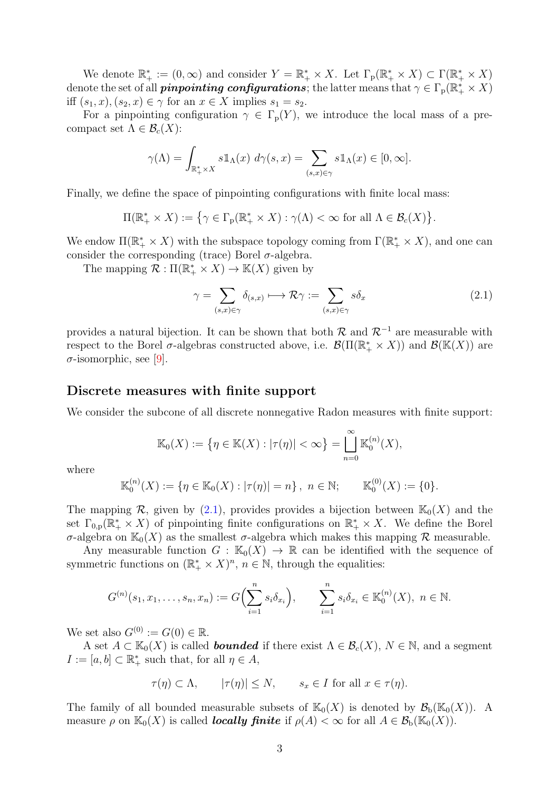We denote  $\mathbb{R}_+^* := (0, \infty)$  and consider  $Y = \mathbb{R}_+^* \times X$ . Let  $\Gamma_p(\mathbb{R}_+^* \times X) \subset \Gamma(\mathbb{R}_+^* \times X)$ denote the set of all *pinpointing configurations*; the latter means that  $\gamma \in \Gamma_p(\mathbb{R}_+^* \times X)$ iff  $(s_1, x), (s_2, x) \in \gamma$  for an  $x \in X$  implies  $s_1 = s_2$ .

For a pinpointing configuration  $\gamma \in \Gamma_p(Y)$ , we introduce the local mass of a precompact set  $\Lambda \in \mathcal{B}_c(X)$ :

$$
\gamma(\Lambda) = \int_{\mathbb{R}_+^* \times X} s \mathbb{1}_{\Lambda}(x) \, d\gamma(s, x) = \sum_{(s, x) \in \gamma} s \mathbb{1}_{\Lambda}(x) \in [0, \infty].
$$

Finally, we define the space of pinpointing configurations with finite local mass:

 $\Pi(\mathbb{R}_+^* \times X) := \{ \gamma \in \Gamma_p(\mathbb{R}_+^* \times X) : \gamma(\Lambda) < \infty \text{ for all } \Lambda \in \mathcal{B}_c(X) \}.$ 

We endow  $\Pi(\mathbb{R}_+^* \times X)$  with the subspace topology coming from  $\Gamma(\mathbb{R}_+^* \times X)$ , and one can consider the corresponding (trace) Borel  $\sigma$ -algebra.

The mapping  $\mathcal{R} : \Pi(\mathbb{R}_+^* \times X) \to \mathbb{K}(X)$  given by

<span id="page-2-0"></span>
$$
\gamma = \sum_{(s,x)\in\gamma} \delta_{(s,x)} \longmapsto \mathcal{R}\gamma := \sum_{(s,x)\in\gamma} s\delta_x \tag{2.1}
$$

provides a natural bijection. It can be shown that both  $\mathcal{R}$  and  $\mathcal{R}^{-1}$  are measurable with respect to the Borel  $\sigma$ -algebras constructed above, i.e.  $\mathcal{B}(\Pi(\mathbb{R}_+^* \times X))$  and  $\mathcal{B}(\mathbb{K}(X))$  are  $\sigma$ -isomorphic, see [\[9\]](#page-19-1).

#### Discrete measures with finite support

We consider the subcone of all discrete nonnegative Radon measures with finite support:

$$
\mathbb{K}_0(X) := \{ \eta \in \mathbb{K}(X) : |\tau(\eta)| < \infty \} = \bigcup_{n=0}^{\infty} \mathbb{K}_0^{(n)}(X),
$$

where

$$
\mathbb{K}_0^{(n)}(X) := \{ \eta \in \mathbb{K}_0(X) : |\tau(\eta)| = n \}, \ \ n \in \mathbb{N}; \qquad \mathbb{K}_0^{(0)}(X) := \{0\}.
$$

The mapping R, given by [\(2.1\)](#page-2-0), provides provides a bijection between  $\mathbb{K}_0(X)$  and the set  $\Gamma_{0,p}(\mathbb{R}_+^* \times X)$  of pinpointing finite configurations on  $\mathbb{R}_+^* \times X$ . We define the Borel σ-algebra on  $\mathbb{K}_0(X)$  as the smallest σ-algebra which makes this mapping R measurable.

Any measurable function  $G : \mathbb{K}_0(X) \to \mathbb{R}$  can be identified with the sequence of symmetric functions on  $(\mathbb{R}_+^* \times X)^n$ ,  $n \in \mathbb{N}$ , through the equalities:

$$
G^{(n)}(s_1, x_1, \dots, s_n, x_n) := G\Big(\sum_{i=1}^n s_i \delta_{x_i}\Big), \qquad \sum_{i=1}^n s_i \delta_{x_i} \in \mathbb{K}_0^{(n)}(X), \ n \in \mathbb{N}.
$$

We set also  $G^{(0)} := G(0) \in \mathbb{R}$ .

A set  $A \subset \mathbb{K}_0(X)$  is called **bounded** if there exist  $\Lambda \in \mathcal{B}_c(X)$ ,  $N \in \mathbb{N}$ , and a segment  $I := [a, b] \subset \mathbb{R}^*_+$  such that, for all  $\eta \in A$ ,

$$
\tau(\eta) \subset \Lambda
$$
,  $|\tau(\eta)| \le N$ ,  $s_x \in I$  for all  $x \in \tau(\eta)$ .

The family of all bounded measurable subsets of  $\mathbb{K}_0(X)$  is denoted by  $\mathcal{B}_b(\mathbb{K}_0(X))$ . A measure  $\rho$  on  $\mathbb{K}_0(X)$  is called **locally finite** if  $\rho(A) < \infty$  for all  $A \in \mathcal{B}_b(\mathbb{K}_0(X))$ .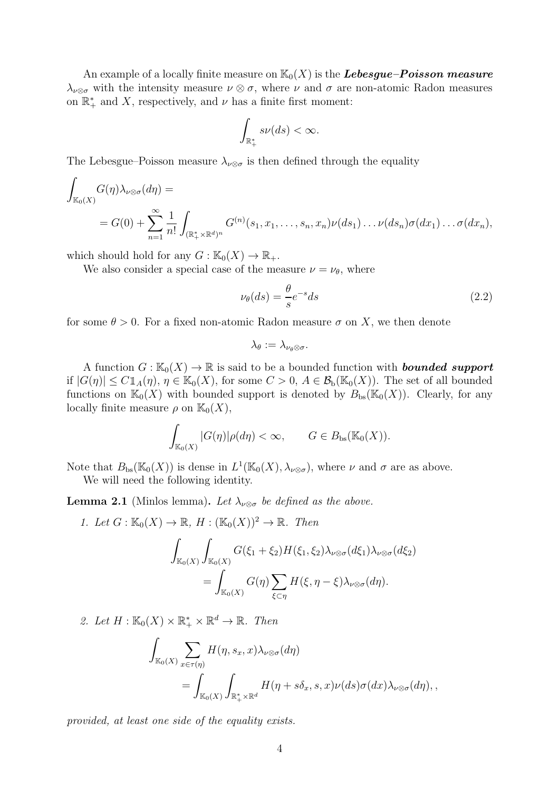An example of a locally finite measure on  $\mathbb{K}_0(X)$  is the **Lebesgue–Poisson measure**  $\lambda_{\nu\otimes\sigma}$  with the intensity measure  $\nu\otimes\sigma$ , where  $\nu$  and  $\sigma$  are non-atomic Radon measures on  $\mathbb{R}_+^*$  and X, respectively, and  $\nu$  has a finite first moment:

$$
\int_{\mathbb{R}_+^*} s\nu(ds) < \infty.
$$

The Lebesgue–Poisson measure  $\lambda_{\nu\otimes\sigma}$  is then defined through the equality

$$
\int_{\mathbb{K}_0(X)} G(\eta) \lambda_{\nu \otimes \sigma}(d\eta) =
$$
\n
$$
= G(0) + \sum_{n=1}^{\infty} \frac{1}{n!} \int_{(\mathbb{R}_+^* \times \mathbb{R}^d)^n} G^{(n)}(s_1, x_1, \dots, s_n, x_n) \nu(ds_1) \dots \nu(ds_n) \sigma(dx_1) \dots \sigma(dx_n),
$$

which should hold for any  $G : \mathbb{K}_0(X) \to \mathbb{R}_+$ .

We also consider a special case of the measure  $\nu = \nu_{\theta}$ , where

<span id="page-3-0"></span>
$$
\nu_{\theta}(ds) = \frac{\theta}{s} e^{-s} ds \tag{2.2}
$$

for some  $\theta > 0$ . For a fixed non-atomic Radon measure  $\sigma$  on X, we then denote

$$
\lambda_{\theta}:=\lambda_{\nu_{\theta}\otimes\sigma}.
$$

A function  $G : \mathbb{K}_0(X) \to \mathbb{R}$  is said to be a bounded function with **bounded support** if  $|G(\eta)| \le C1_A(\eta)$ ,  $\eta \in \mathbb{K}_0(X)$ , for some  $C > 0$ ,  $A \in \mathcal{B}_b(\mathbb{K}_0(X))$ . The set of all bounded functions on  $\mathbb{K}_0(X)$  with bounded support is denoted by  $B_{bs}(\mathbb{K}_0(X))$ . Clearly, for any locally finite measure  $\rho$  on  $\mathbb{K}_0(X)$ ,

$$
\int_{\mathbb{K}_0(X)} |G(\eta)| \rho(d\eta) < \infty, \qquad G \in B_{\text{bs}}(\mathbb{K}_0(X)).
$$

Note that  $B_{bs}(\mathbb{K}_0(X))$  is dense in  $L^1(\mathbb{K}_0(X), \lambda_{\nu \otimes \sigma})$ , where  $\nu$  and  $\sigma$  are as above.

We will need the following identity.

<span id="page-3-1"></span>**Lemma 2.1** (Minlos lemma). Let  $\lambda_{\nu\otimes\sigma}$  be defined as the above.

1. Let 
$$
G : \mathbb{K}_0(X) \to \mathbb{R}
$$
,  $H : (\mathbb{K}_0(X))^2 \to \mathbb{R}$ . Then  
\n
$$
\int_{\mathbb{K}_0(X)} \int_{\mathbb{K}_0(X)} G(\xi_1 + \xi_2) H(\xi_1, \xi_2) \lambda_{\nu \otimes \sigma}(d\xi_1) \lambda_{\nu \otimes \sigma}(d\xi_2)
$$
\n
$$
= \int_{\mathbb{K}_0(X)} G(\eta) \sum_{\xi \subset \eta} H(\xi, \eta - \xi) \lambda_{\nu \otimes \sigma}(d\eta).
$$

2. Let  $H : \mathbb{K}_0(X) \times \mathbb{R}_+^* \times \mathbb{R}^d \to \mathbb{R}$ . Then

$$
\int_{\mathbb{K}_{0}(X)} \sum_{x \in \tau(\eta)} H(\eta, s_{x}, x) \lambda_{\nu \otimes \sigma}(d\eta)
$$
\n
$$
= \int_{\mathbb{K}_{0}(X)} \int_{\mathbb{R}_{+}^{*} \times \mathbb{R}^{d}} H(\eta + s\delta_{x}, s, x) \nu(ds) \sigma(dx) \lambda_{\nu \otimes \sigma}(d\eta),
$$

*provided, at least one side of the equality exists.*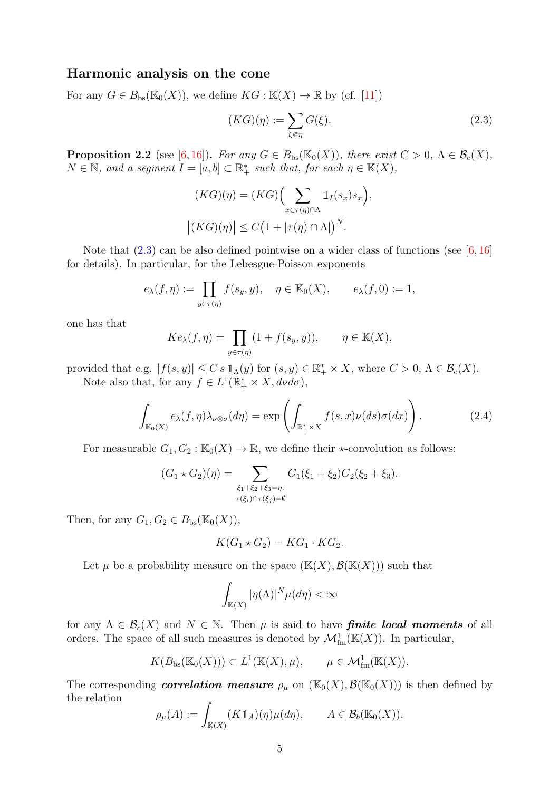#### Harmonic analysis on the cone

For any  $G \in B_{\text{bs}}(\mathbb{K}_0(X))$ , we define  $KG : \mathbb{K}(X) \to \mathbb{R}$  by (cf. [\[11\]](#page-20-3))

<span id="page-4-0"></span>
$$
(KG)(\eta) := \sum_{\xi \in \eta} G(\xi). \tag{2.3}
$$

**Proposition 2.2** (see [\[6,](#page-19-2)[16\]](#page-20-6)). *For any*  $G \in B_{bs}(\mathbb{K}_0(X))$ *, there exist*  $C > 0$ *,*  $\Lambda \in \mathcal{B}_c(X)$ *,*  $N \in \mathbb{N}$ , and a segment  $I = [a, b] \subset \mathbb{R}_+^*$  such that, for each  $\eta \in \mathbb{K}(X)$ ,

$$
(KG)(\eta) = (KG) \Big( \sum_{x \in \tau(\eta) \cap \Lambda} \mathbb{1}_I(s_x) s_x \Big),
$$

$$
|(KG)(\eta)| \le C \big( 1 + |\tau(\eta) \cap \Lambda| \big)^N.
$$

Note that  $(2.3)$  can be also defined pointwise on a wider class of functions (see [\[6,](#page-19-2)[16\]](#page-20-6) for details). In particular, for the Lebesgue-Poisson exponents

$$
e_{\lambda}(f,\eta) := \prod_{y \in \tau(\eta)} f(s_y, y), \quad \eta \in \mathbb{K}_0(X), \qquad e_{\lambda}(f,0) := 1,
$$

one has that

$$
Ke_{\lambda}(f,\eta)=\prod_{y\in\tau(\eta)}(1+f(s_y,y)), \qquad \eta\in\mathbb K(X),
$$

provided that e.g.  $|f(s, y)| \leq C s \mathbb{1}_{\Lambda}(y)$  for  $(s, y) \in \mathbb{R}_+^* \times X$ , where  $C > 0$ ,  $\Lambda \in \mathcal{B}_c(X)$ . Note also that, for any  $f \in L^1(\mathbb{R}_+^* \times X, d\nu d\sigma)$ ,

<span id="page-4-1"></span>
$$
\int_{\mathbb{K}_0(X)} e_\lambda(f,\eta) \lambda_{\nu \otimes \sigma}(d\eta) = \exp\left(\int_{\mathbb{R}_+^* \times X} f(s,x) \nu(ds) \sigma(dx)\right). \tag{2.4}
$$

For measurable  $G_1, G_2 : \mathbb{K}_0(X) \to \mathbb{R}$ , we define their  $\star$ -convolution as follows:

$$
(G_1 * G_2)(\eta) = \sum_{\substack{\xi_1 + \xi_2 + \xi_3 = \eta: \\ \tau(\xi_i) \cap \tau(\xi_j) = \emptyset}} G_1(\xi_1 + \xi_2) G_2(\xi_2 + \xi_3).
$$

Then, for any  $G_1, G_2 \in B_{bs}(\mathbb{K}_0(X)),$ 

$$
K(G_1 \star G_2) = KG_1 \cdot KG_2.
$$

Let  $\mu$  be a probability measure on the space  $(\mathbb{K}(X), \mathcal{B}(\mathbb{K}(X)))$  such that

$$
\int_{\mathbb{K}(X)} |\eta(\Lambda)|^N \mu(d\eta) < \infty
$$

for any  $\Lambda \in \mathcal{B}_{c}(X)$  and  $N \in \mathbb{N}$ . Then  $\mu$  is said to have **finite local moments** of all orders. The space of all such measures is denoted by  $\mathcal{M}_{\text{fm}}^1(\mathbb{K}(X))$ . In particular,

$$
K(B_{\mathrm{bs}}(\mathbb{K}_0(X))) \subset L^1(\mathbb{K}(X), \mu), \qquad \mu \in \mathcal{M}^1_{\mathrm{fm}}(\mathbb{K}(X)).
$$

The corresponding correlation measure  $\rho_\mu$  on  $(\mathbb{K}_0(X), \mathcal{B}(\mathbb{K}_0(X)))$  is then defined by the relation

$$
\rho_{\mu}(A) := \int_{\mathbb{K}(X)} (K \mathbb{1}_A)(\eta) \mu(d\eta), \qquad A \in \mathcal{B}_b(\mathbb{K}_0(X)).
$$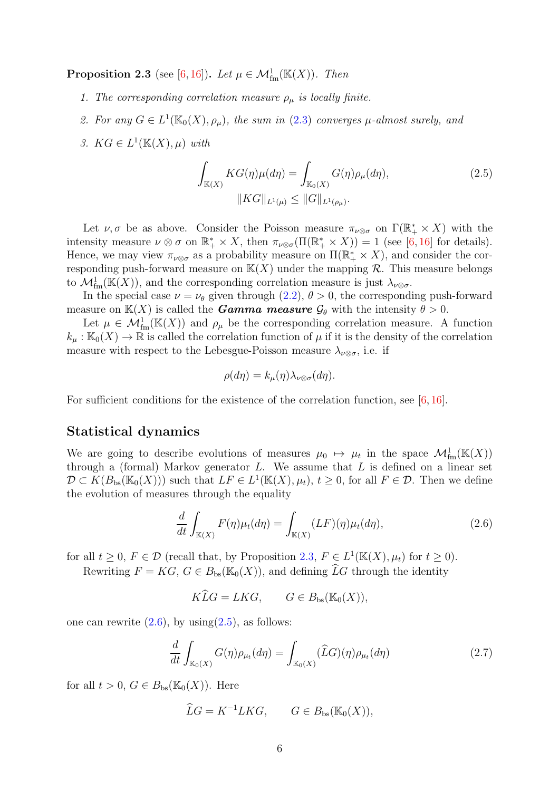<span id="page-5-0"></span>**Proposition 2.3** (see [\[6,](#page-19-2) [16\]](#page-20-6)). *Let*  $\mu \in \mathcal{M}_{\text{fm}}^1(\mathbb{K}(X))$ . *Then* 

- *1. The corresponding correlation measure*  $\rho_{\mu}$  *is locally finite.*
- 2. For any  $G \in L^1(\mathbb{K}_0(X), \rho_\mu)$ , the sum in [\(2.3\)](#page-4-0) converges  $\mu$ -almost surely, and
- 3.  $KG \in L^1(\mathbb{K}(X), \mu)$  with

<span id="page-5-2"></span>
$$
\int_{\mathbb{K}(X)} KG(\eta) \mu(d\eta) = \int_{\mathbb{K}_0(X)} G(\eta) \rho_{\mu}(d\eta),
$$
\n
$$
\|KG\|_{L^1(\mu)} \le \|G\|_{L^1(\rho_{\mu})}.
$$
\n(2.5)

Let  $\nu, \sigma$  be as above. Consider the Poisson measure  $\pi_{\nu\otimes\sigma}$  on  $\Gamma(\mathbb{R}_+^*\times X)$  with the intensity measure  $\nu \otimes \sigma$  on  $\mathbb{R}_+^* \times X$ , then  $\pi_{\nu \otimes \sigma}(\Pi(\mathbb{R}_+^* \times X)) = 1$  (see [\[6,](#page-19-2) [16\]](#page-20-6) for details). Hence, we may view  $\pi_{\nu\otimes \sigma}$  as a probability measure on  $\Pi(\mathbb{R}_+^*\times X)$ , and consider the corresponding push-forward measure on  $\mathbb{K}(X)$  under the mapping  $\mathcal{R}$ . This measure belongs to  $\mathcal{M}_{\text{fm}}^1(\mathbb{K}(X))$ , and the corresponding correlation measure is just  $\lambda_{\nu\otimes\sigma}$ .

In the special case  $\nu = \nu_{\theta}$  given through [\(2.2\)](#page-3-0),  $\theta > 0$ , the corresponding push-forward measure on  $\mathbb{K}(X)$  is called the *Gamma measure*  $\mathcal{G}_{\theta}$  with the intensity  $\theta > 0$ .

Let  $\mu \in \mathcal{M}_{\text{fm}}^1(\mathbb{K}(X))$  and  $\rho_\mu$  be the corresponding correlation measure. A function  $k_\mu : \mathbb{K}_0(X) \to \mathbb{R}$  is called the correlation function of  $\mu$  if it is the density of the correlation measure with respect to the Lebesgue-Poisson measure  $\lambda_{\nu\otimes\sigma}$ , i.e. if

$$
\rho(d\eta) = k_{\mu}(\eta)\lambda_{\nu\otimes\sigma}(d\eta).
$$

For sufficient conditions for the existence of the correlation function, see [\[6,](#page-19-2) [16\]](#page-20-6).

#### Statistical dynamics

We are going to describe evolutions of measures  $\mu_0 \mapsto \mu_t$  in the space  $\mathcal{M}_{\text{fm}}^1(\mathbb{K}(X))$ through a (formal) Markov generator  $L$ . We assume that  $L$  is defined on a linear set  $\mathcal{D} \subset K(B_{\text{bs}}(\mathbb{K}_0(X)))$  such that  $LF \in L^1(\mathbb{K}(X), \mu_t), t \geq 0$ , for all  $F \in \mathcal{D}$ . Then we define the evolution of measures through the equality

<span id="page-5-1"></span>
$$
\frac{d}{dt} \int_{\mathbb{K}(X)} F(\eta) \mu_t(d\eta) = \int_{\mathbb{K}(X)} (LF)(\eta) \mu_t(d\eta), \tag{2.6}
$$

for all  $t \geq 0$ ,  $F \in \mathcal{D}$  (recall that, by Proposition [2.3,](#page-5-0)  $F \in L^1(\mathbb{K}(X), \mu_t)$  for  $t \geq 0$ ).

Rewriting  $F = KG$ ,  $G \in B_{\text{bs}}(\mathbb{K}_0(X))$ , and defining  $\widehat{L}G$  through the identity

 $K\widehat{L}G = LKG,$   $G \in B_{\text{bs}}(\mathbb{K}_0(X)),$ 

one can rewrite  $(2.6)$ , by using $(2.5)$ , as follows:

<span id="page-5-3"></span>
$$
\frac{d}{dt} \int_{\mathbb{K}_0(X)} G(\eta) \rho_{\mu_t}(d\eta) = \int_{\mathbb{K}_0(X)} (\widehat{L}G)(\eta) \rho_{\mu_t}(d\eta) \tag{2.7}
$$

for all  $t > 0$ ,  $G \in B_{\text{bs}}(\mathbb{K}_0(X))$ . Here

$$
\widehat{L}G = K^{-1}LKG, \qquad G \in B_{\text{bs}}(\mathbb{K}_0(X)),
$$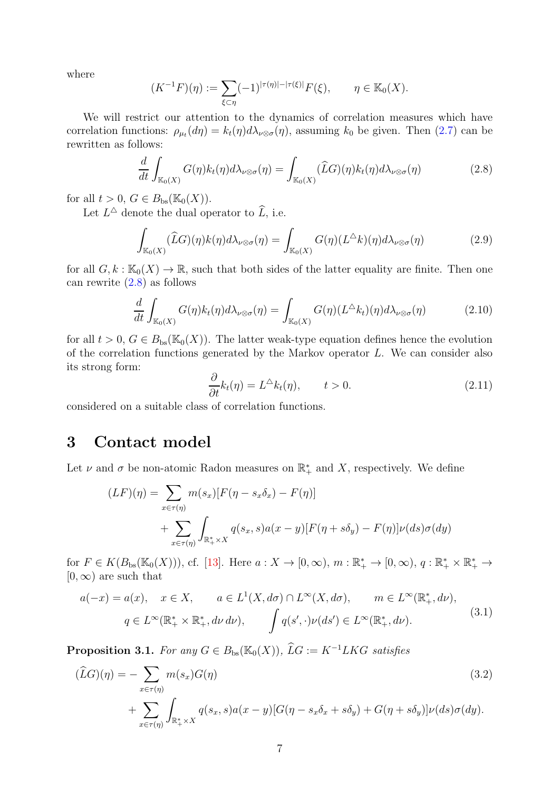where

$$
(K^{-1}F)(\eta) := \sum_{\xi \subset \eta} (-1)^{|\tau(\eta)| - |\tau(\xi)|} F(\xi), \qquad \eta \in \mathbb{K}_0(X).
$$

We will restrict our attention to the dynamics of correlation measures which have correlation functions:  $\rho_{\mu_t}(d\eta) = k_t(\eta) d\lambda_{\nu \otimes \sigma}(\eta)$ , assuming  $k_0$  be given. Then [\(2.7\)](#page-5-3) can be rewritten as follows:

<span id="page-6-0"></span>
$$
\frac{d}{dt} \int_{\mathbb{K}_0(X)} G(\eta) k_t(\eta) d\lambda_{\nu \otimes \sigma}(\eta) = \int_{\mathbb{K}_0(X)} (\widehat{L}G)(\eta) k_t(\eta) d\lambda_{\nu \otimes \sigma}(\eta) \tag{2.8}
$$

for all  $t > 0$ ,  $G \in B_{bs}(\mathbb{K}_0(X))$ .

Let  $L^{\Delta}$  denote the dual operator to  $\widehat{L}$ , i.e.

<span id="page-6-3"></span>
$$
\int_{\mathbb{K}_0(X)} (\widehat{L}G)(\eta) k(\eta) d\lambda_{\nu \otimes \sigma}(\eta) = \int_{\mathbb{K}_0(X)} G(\eta) (L^{\Delta} k)(\eta) d\lambda_{\nu \otimes \sigma}(\eta) \tag{2.9}
$$

for all  $G, k : \mathbb{K}_0(X) \to \mathbb{R}$ , such that both sides of the latter equality are finite. Then one can rewrite [\(2.8\)](#page-6-0) as follows

<span id="page-6-4"></span>
$$
\frac{d}{dt} \int_{\mathbb{K}_0(X)} G(\eta) k_t(\eta) d\lambda_{\nu \otimes \sigma}(\eta) = \int_{\mathbb{K}_0(X)} G(\eta) (L^{\Delta} k_t)(\eta) d\lambda_{\nu \otimes \sigma}(\eta) \tag{2.10}
$$

for all  $t > 0$ ,  $G \in B_{bs}(\mathbb{K}_0(X))$ . The latter weak-type equation defines hence the evolution of the correlation functions generated by the Markov operator L. We can consider also its strong form:

<span id="page-6-5"></span><span id="page-6-2"></span>
$$
\frac{\partial}{\partial t}k_t(\eta) = L^{\Delta}k_t(\eta), \qquad t > 0.
$$
\n(2.11)

considered on a suitable class of correlation functions.

### 3 Contact model

Let  $\nu$  and  $\sigma$  be non-atomic Radon measures on  $\mathbb{R}^*_+$  and X, respectively. We define

$$
(LF)(\eta) = \sum_{x \in \tau(\eta)} m(s_x) [F(\eta - s_x \delta_x) - F(\eta)]
$$
  
+ 
$$
\sum_{x \in \tau(\eta)} \int_{\mathbb{R}_+^* \times X} q(s_x, s) a(x - y) [F(\eta + s\delta_y) - F(\eta)] \nu(ds) \sigma(dy)
$$

for  $F \in K(B_{\text{bs}}(\mathbb{K}_0(X))),$  cf. [\[13\]](#page-20-5). Here  $a: X \to [0, \infty), m: \mathbb{R}_+^* \to [0, \infty), q: \mathbb{R}_+^* \times \mathbb{R}_+^* \to$  $[0, \infty)$  are such that

<span id="page-6-1"></span>
$$
a(-x) = a(x), \quad x \in X, \qquad a \in L^1(X, d\sigma) \cap L^\infty(X, d\sigma), \qquad m \in L^\infty(\mathbb{R}_+^*, d\nu),
$$

$$
q \in L^\infty(\mathbb{R}_+^* \times \mathbb{R}_+^*, d\nu d\nu), \qquad \int q(s', \cdot) \nu(ds') \in L^\infty(\mathbb{R}_+^*, d\nu).
$$
(3.1)

**Proposition 3.1.** *For any*  $G \in B_{bs}(\mathbb{K}_0(X))$ ,  $\widehat{L}G := K^{-1}LKG$  *satisfies* 

$$
(\widehat{L}G)(\eta) = -\sum_{x \in \tau(\eta)} m(s_x)G(\eta)
$$
\n
$$
+\sum_{x \in \tau(\eta)} \int_{\mathbb{R}_+^* \times X} q(s_x, s)a(x - y)[G(\eta - s_x \delta_x + s\delta_y) + G(\eta + s\delta_y)]\nu(ds)\sigma(dy).
$$
\n(3.2)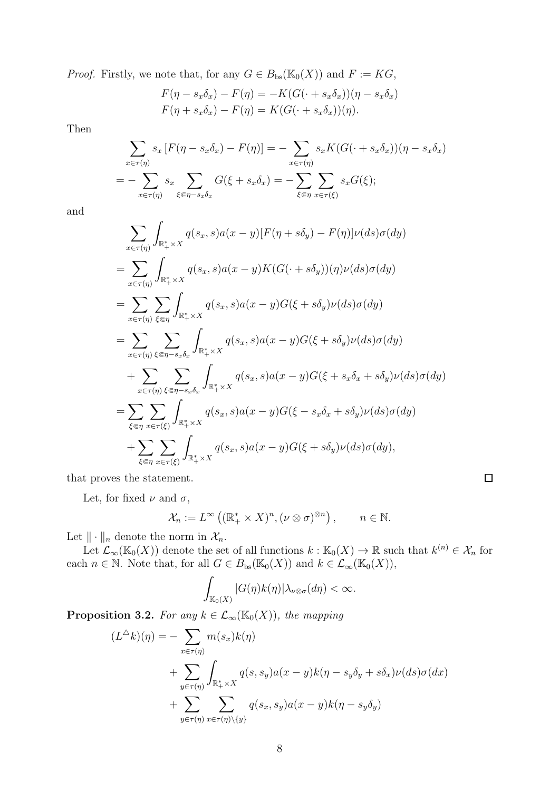*Proof.* Firstly, we note that, for any  $G \in B_{bs}(\mathbb{K}_0(X))$  and  $F := KG$ ,

$$
F(\eta - s_x \delta_x) - F(\eta) = -K(G(\cdot + s_x \delta_x))(\eta - s_x \delta_x)
$$
  

$$
F(\eta + s_x \delta_x) - F(\eta) = K(G(\cdot + s_x \delta_x))(\eta).
$$

Then

$$
\sum_{x \in \tau(\eta)} s_x [F(\eta - s_x \delta_x) - F(\eta)] = - \sum_{x \in \tau(\eta)} s_x K(G(\cdot + s_x \delta_x))(\eta - s_x \delta_x)
$$
  
= 
$$
- \sum_{x \in \tau(\eta)} s_x \sum_{\xi \in \eta - s_x \delta_x} G(\xi + s_x \delta_x) = - \sum_{\xi \in \eta} \sum_{x \in \tau(\xi)} s_x G(\xi);
$$

and

$$
\sum_{x \in \tau(\eta)} \int_{\mathbb{R}_+^* \times X} q(s_x, s) a(x - y) [F(\eta + s\delta_y) - F(\eta)] \nu(ds) \sigma(dy)
$$
\n
$$
= \sum_{x \in \tau(\eta)} \int_{\mathbb{R}_+^* \times X} q(s_x, s) a(x - y) K(G(\cdot + s\delta_y)) (\eta) \nu(ds) \sigma(dy)
$$
\n
$$
= \sum_{x \in \tau(\eta)} \sum_{\xi \in \eta} \int_{\mathbb{R}_+^* \times X} q(s_x, s) a(x - y) G(\xi + s\delta_y) \nu(ds) \sigma(dy)
$$
\n
$$
= \sum_{x \in \tau(\eta)} \sum_{\xi \in \eta - s_x \delta_x} \int_{\mathbb{R}_+^* \times X} q(s_x, s) a(x - y) G(\xi + s\delta_y) \nu(ds) \sigma(dy)
$$
\n
$$
+ \sum_{x \in \tau(\eta)} \sum_{\xi \in \eta - s_x \delta_x} \int_{\mathbb{R}_+^* \times X} q(s_x, s) a(x - y) G(\xi + s_x \delta_x + s\delta_y) \nu(ds) \sigma(dy)
$$
\n
$$
+ \sum_{\xi \in \eta} \sum_{x \in \tau(\xi)} \int_{\mathbb{R}_+^* \times X} q(s_x, s) a(x - y) G(\xi - s_x \delta_x + s\delta_y) \nu(ds) \sigma(dy)
$$
\n
$$
+ \sum_{\xi \in \eta} \sum_{x \in \tau(\xi)} \int_{\mathbb{R}_+^* \times X} q(s_x, s) a(x - y) G(\xi + s\delta_y) \nu(ds) \sigma(dy),
$$

that proves the statement.

Let, for fixed  $\nu$  and  $\sigma$ ,

$$
\mathcal{X}_n := L^{\infty} \left( (\mathbb{R}^*_{+} \times X)^n, (\nu \otimes \sigma)^{\otimes n} \right), \qquad n \in \mathbb{N}.
$$

 $\Box$ 

Let  $\|\cdot\|_n$  denote the norm in  $\mathcal{X}_n$ .

Let  $\mathcal{L}_{\infty}(\mathbb{K}_0(X))$  denote the set of all functions  $k : \mathbb{K}_0(X) \to \mathbb{R}$  such that  $k^{(n)} \in \mathcal{X}_n$  for each  $n \in \mathbb{N}$ . Note that, for all  $G \in B_{\text{bs}}(\mathbb{K}_0(X))$  and  $k \in \mathcal{L}_{\infty}(\mathbb{K}_0(X)),$ 

$$
\int_{\mathbb{K}_0(X)} |G(\eta)k(\eta)| \lambda_{\nu \otimes \sigma}(d\eta) < \infty.
$$

**Proposition 3.2.** *For any*  $k \in \mathcal{L}_{\infty}(\mathbb{K}_{0}(X))$ *, the mapping* 

$$
(L^{\Delta}k)(\eta) = -\sum_{x \in \tau(\eta)} m(s_x)k(\eta)
$$
  
+ 
$$
\sum_{y \in \tau(\eta)} \int_{\mathbb{R}_+^* \times X} q(s, s_y) a(x - y) k(\eta - s_y \delta_y + s \delta_x) \nu(ds) \sigma(dx)
$$
  
+ 
$$
\sum_{y \in \tau(\eta)} \sum_{x \in \tau(\eta) \setminus \{y\}} q(s_x, s_y) a(x - y) k(\eta - s_y \delta_y)
$$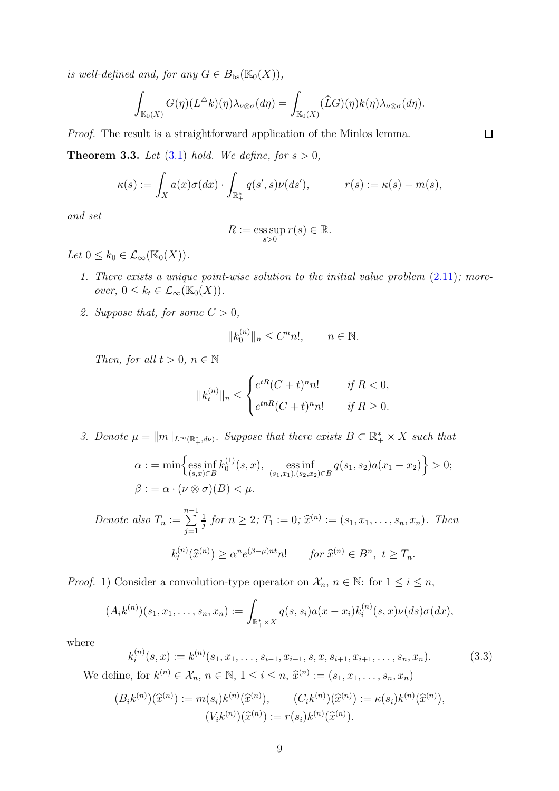*is well-defined and, for any*  $G \in B_{bs}(\mathbb{K}_0(X)),$ 

$$
\int_{\mathbb{K}_0(X)} G(\eta)(L^{\Delta}k)(\eta) \lambda_{\nu \otimes \sigma}(d\eta) = \int_{\mathbb{K}_0(X)} (\widehat{L}G)(\eta)k(\eta) \lambda_{\nu \otimes \sigma}(d\eta).
$$

*Proof.* The result is a straightforward application of the Minlos lemma.

<span id="page-8-1"></span>**Theorem 3.3.** Let  $(3.1)$  hold. We define, for  $s > 0$ ,

$$
\kappa(s) := \int_X a(x)\sigma(dx) \cdot \int_{\mathbb{R}_+^*} q(s',s)\nu(ds'), \qquad r(s) := \kappa(s) - m(s),
$$

*and set*

$$
R := \operatorname*{ess\,sup}_{s>0} r(s) \in \mathbb{R}.
$$

*Let*  $0 \leq k_0 \in \mathcal{L}_{\infty}(\mathbb{K}_0(X)).$ 

- *1. There exists a unique point-wise solution to the initial value problem* [\(2.11\)](#page-6-2)*; moreover*,  $0 \leq k_t \in \mathcal{L}_{\infty}(\mathbb{K}_0(X)).$
- *2. Suppose that, for some*  $C > 0$ *,*

$$
||k_0^{(n)}||_n \le C^n n!, \qquad n \in \mathbb{N}.
$$

*Then, for all*  $t > 0, n \in \mathbb{N}$ 

$$
||k_t^{(n)}||_n \le \begin{cases} e^{tR}(C+t)^n n! & \text{if } R < 0, \\ e^{tnR}(C+t)^n n! & \text{if } R \ge 0. \end{cases}
$$

3. Denote  $\mu = ||m||_{L^{\infty}(\mathbb{R}^*_+,d\nu)}$ . Suppose that there exists  $B \subset \mathbb{R}^*_+ \times X$  such that

$$
\alpha := \min \left\{ \underset{(s,x)\in B}{\text{ess inf}} k_0^{(1)}(s,x), \underset{(s_1,x_1),(s_2,x_2)\in B}{\text{ess inf}} q(s_1,s_2) a(x_1 - x_2) \right\} > 0; \beta := \alpha \cdot (\nu \otimes \sigma)(B) < \mu.
$$

Denote also 
$$
T_n := \sum_{j=1}^{n-1} \frac{1}{j}
$$
 for  $n \ge 2$ ;  $T_1 := 0$ ;  $\widehat{x}^{(n)} := (s_1, x_1, \dots, s_n, x_n)$ . Then  

$$
k_t^{(n)}(\widehat{x}^{(n)}) \ge \alpha^n e^{(\beta - \mu)nt} n! \quad \text{for } \widehat{x}^{(n)} \in B^n, t \ge T_n.
$$

*Proof.* 1) Consider a convolution-type operator on  $\mathcal{X}_n$ ,  $n \in \mathbb{N}$ : for  $1 \leq i \leq n$ ,

$$
(A_i k^{(n)})(s_1, x_1, \ldots, s_n, x_n) := \int_{\mathbb{R}_+^* \times X} q(s, s_i) a(x - x_i) k_i^{(n)}(s, x) \nu(ds) \sigma(dx),
$$

where

<span id="page-8-0"></span>
$$
k_i^{(n)}(s,x) := k^{(n)}(s_1, x_1, \dots, s_{i-1}, x_{i-1}, s, x, s_{i+1}, x_{i+1}, \dots, s_n, x_n).
$$
(3.3)  
define for  $k^{(n)} \in \mathcal{X}$ ,  $n \in \mathbb{N}$ ,  $1 \le i \le n$ ,  $\hat{x}^{(n)} = (s_1, x_1, \dots, s_n, x_n)$ .

We define, for  $k^{(n)} \in \mathcal{X}_n$ ,  $n \in \mathbb{N}$ ,  $1 \le i \le n$ ,  $\hat{x}^{(n)} := (s_1, x_1, \dots, s_n, x_n)$ 

$$
(B_i k^{(n)})(\widehat{x}^{(n)}) := m(s_i)k^{(n)}(\widehat{x}^{(n)}), \qquad (C_i k^{(n)})(\widehat{x}^{(n)}) := \kappa(s_i)k^{(n)}(\widehat{x}^{(n)}),
$$

$$
(V_i k^{(n)})(\widehat{x}^{(n)}) := r(s_i)k^{(n)}(\widehat{x}^{(n)}).
$$

 $\Box$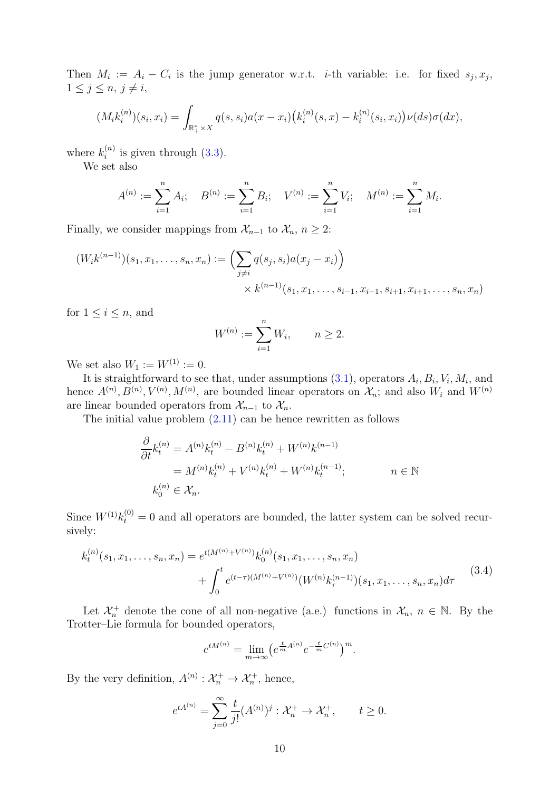Then  $M_i := A_i - C_i$  is the jump generator w.r.t. *i*-th variable: i.e. for fixed  $s_j, x_j$ ,  $1 \leq j \leq n, j \neq i$ ,

$$
(M_i k_i^{(n)})(s_i, x_i) = \int_{\mathbb{R}_+^* \times X} q(s, s_i) a(x - x_i) (k_i^{(n)}(s, x) - k_i^{(n)}(s_i, x_i)) \nu(ds) \sigma(dx),
$$

where  $k_i^{(n)}$  $i^{(n)}$  is given through  $(3.3)$ .

We set also

$$
A^{(n)} := \sum_{i=1}^{n} A_i; \quad B^{(n)} := \sum_{i=1}^{n} B_i; \quad V^{(n)} := \sum_{i=1}^{n} V_i; \quad M^{(n)} := \sum_{i=1}^{n} M_i.
$$

Finally, we consider mappings from  $\mathcal{X}_{n-1}$  to  $\mathcal{X}_n$ ,  $n \geq 2$ :

$$
(W_i k^{(n-1)})(s_1, x_1, \dots, s_n, x_n) := \left(\sum_{j \neq i} q(s_j, s_i) a(x_j - x_i)\right)
$$
  
 
$$
\times k^{(n-1)}(s_1, x_1, \dots, s_{i-1}, x_{i-1}, s_{i+1}, x_{i+1}, \dots, s_n, x_n)
$$

for  $1 \leq i \leq n$ , and

$$
W^{(n)} := \sum_{i=1}^{n} W_i, \qquad n \ge 2.
$$

We set also  $W_1 := W^{(1)} := 0$ .

It is straightforward to see that, under assumptions  $(3.1)$ , operators  $A_i, B_i, V_i, M_i$ , and hence  $A^{(n)}, B^{(n)}, V^{(n)}, M^{(n)}$ , are bounded linear operators on  $\mathcal{X}_n$ ; and also  $W_i$  and  $W^{(n)}$ are linear bounded operators from  $\mathcal{X}_{n-1}$  to  $\mathcal{X}_n$ .

The initial value problem [\(2.11\)](#page-6-2) can be hence rewritten as follows

$$
\frac{\partial}{\partial t}k_t^{(n)} = A^{(n)}k_t^{(n)} - B^{(n)}k_t^{(n)} + W^{(n)}k^{(n-1)} = M^{(n)}k_t^{(n)} + V^{(n)}k_t^{(n)} + W^{(n)}k_t^{(n-1)}; \qquad n \in \mathbb{N}
$$

$$
k_0^{(n)} \in \mathcal{X}_n.
$$

Since  $W^{(1)}k_t^{(0)} = 0$  and all operators are bounded, the latter system can be solved recursively:

<span id="page-9-0"></span>
$$
k_t^{(n)}(s_1, x_1, \dots, s_n, x_n) = e^{t(M^{(n)} + V^{(n)})} k_0^{(n)}(s_1, x_1, \dots, s_n, x_n)
$$
  
+ 
$$
\int_0^t e^{(t-\tau)(M^{(n)} + V^{(n)})} (W^{(n)} k_\tau^{(n-1)}) (s_1, x_1, \dots, s_n, x_n) d\tau
$$
(3.4)

Let  $\mathcal{X}_n^+$  denote the cone of all non-negative (a.e.) functions in  $\mathcal{X}_n$ ,  $n \in \mathbb{N}$ . By the Trotter–Lie formula for bounded operators,

$$
e^{tM^{(n)}} = \lim_{m \to \infty} \left( e^{\frac{t}{m}A^{(n)}} e^{-\frac{t}{m}C^{(n)}} \right)^m.
$$

By the very definition,  $A^{(n)}: \mathcal{X}_n^+ \to \mathcal{X}_n^+$ , hence,

$$
e^{tA^{(n)}} = \sum_{j=0}^{\infty} \frac{t}{j!} (A^{(n)})^j : \mathcal{X}_n^+ \to \mathcal{X}_n^+, \qquad t \ge 0.
$$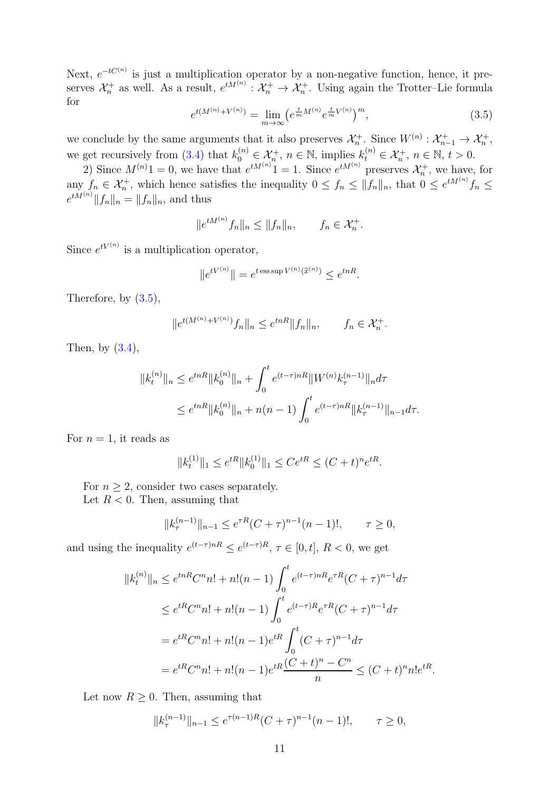Next,  $e^{-tC^{(n)}}$  is just a multiplication operator by a non-negative function, hence, it preserves  $\mathcal{X}_n^+$  as well. As a result,  $e^{tM^{(n)}}: \mathcal{X}_n^+ \to \mathcal{X}_n^+$ . Using again the Trotter-Lie formula for

<span id="page-10-0"></span>
$$
e^{t(M^{(n)} + V^{(n)})} = \lim_{m \to \infty} \left( e^{\frac{t}{m} M^{(n)}} e^{\frac{t}{m} V^{(n)}} \right)^m, \tag{3.5}
$$

we conclude by the same arguments that it also preserves  $\mathcal{X}_n^+$ . Since  $W^{(n)}: \mathcal{X}_{n-1}^+ \to \mathcal{X}_n^+$ , we get recursively from [\(3.4\)](#page-9-0) that  $k_0^{(n)} \in \mathcal{X}_n^+$ ,  $n \in \mathbb{N}$ , implies  $k_0^{(n)} \in \mathcal{X}_n^+$ ,  $n \in \mathbb{N}$ ,  $t > 0$ .

2) Since  $M^{(n)}1 = 0$ , we have that  $e^{tM^{(n)}}1 = 1$ . Since  $e^{tM^{(n)}}$  preserves  $\mathcal{X}_n^+$ , we have, for any  $f_n \in \mathcal{X}_n^+$ , which hence satisfies the inequality  $0 \le f_n \le ||f_n||_n$ , that  $0 \le e^{tM^{(n)}}f_n \le$  $e^{tM^{(n)}} \|f_n\|_n = \|f_n\|_n$ , and thus

$$
||e^{tM^{(n)}}f_n||_n \le ||f_n||_n, \qquad f_n \in \mathcal{X}_n^+.
$$

Since  $e^{tV^{(n)}}$  is a multiplication operator,

$$
||e^{tV^{(n)}}|| = e^{t \operatorname{ess} \sup V^{(n)}(\widehat{x}^{(n)})} \le e^{tnR}.
$$

Therefore, by [\(3.5\)](#page-10-0),

$$
||e^{t(M^{(n)} + V^{(n)})} f_n||_n \le e^{tnR} ||f_n||_n, \qquad f_n \in \mathcal{X}_n^+.
$$

Then, by  $(3.4)$ ,

$$
||k_t^{(n)}||_n \le e^{tnR} ||k_0^{(n)}||_n + \int_0^t e^{(t-\tau)nR} ||W^{(n)}k_\tau^{(n-1)}||_n d\tau
$$
  

$$
\le e^{tnR} ||k_0^{(n)}||_n + n(n-1) \int_0^t e^{(t-\tau)nR} ||k_\tau^{(n-1)}||_{n-1} d\tau.
$$

For  $n = 1$ , it reads as

$$
||k_t^{(1)}||_1 \le e^{tR} ||k_0^{(1)}||_1 \le Ce^{tR} \le (C+t)^n e^{tR}.
$$

For  $n \geq 2$ , consider two cases separately.

Let  $R < 0$ . Then, assuming that

$$
||k_{\tau}^{(n-1)}||_{n-1} \le e^{\tau R} (C+\tau)^{n-1} (n-1)!, \qquad \tau \ge 0,
$$

and using the inequality  $e^{(t-\tau)nR} \leq e^{(t-\tau)R}, \tau \in [0, t], R < 0$ , we get

$$
||k_t^{(n)}||_n \le e^{tnR}C^n n! + n!(n-1) \int_0^t e^{(t-\tau)nR} e^{\tau R} (C+\tau)^{n-1} d\tau
$$
  
\n
$$
\le e^{tR}C^n n! + n!(n-1) \int_0^t e^{(t-\tau)R} e^{\tau R} (C+\tau)^{n-1} d\tau
$$
  
\n
$$
= e^{tR}C^n n! + n!(n-1) e^{tR} \int_0^t (C+\tau)^{n-1} d\tau
$$
  
\n
$$
= e^{tR}C^n n! + n!(n-1) e^{tR} \frac{(C+t)^n - C^n}{n} \le (C+t)^n n! e^{tR}.
$$

Let now  $R \geq 0$ . Then, assuming that

$$
||k_{\tau}^{(n-1)}||_{n-1} \le e^{\tau (n-1)R} (C+\tau)^{n-1} (n-1)!, \qquad \tau \ge 0,
$$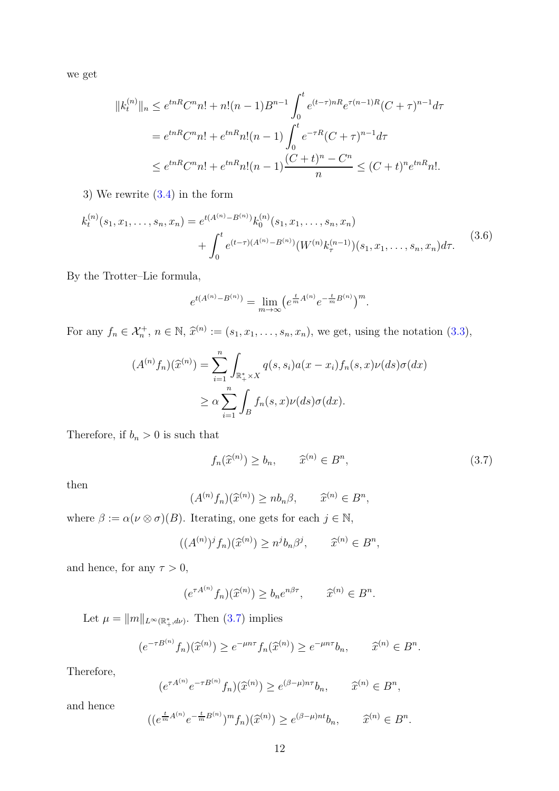we get

$$
||k_t^{(n)}||_n \le e^{tnR}C^n n! + n!(n-1)B^{n-1} \int_0^t e^{(t-\tau)nR} e^{\tau(n-1)R} (C+\tau)^{n-1} d\tau
$$
  
=  $e^{tnR}C^n n! + e^{tnR} n!(n-1) \int_0^t e^{-\tau R} (C+\tau)^{n-1} d\tau$   
 $\le e^{tnR}C^n n! + e^{tnR} n!(n-1) \frac{(C+t)^n - C^n}{n} \le (C+t)^n e^{tnR} n!.$ 

3) We rewrite [\(3.4\)](#page-9-0) in the form

<span id="page-11-1"></span>
$$
k_t^{(n)}(s_1, x_1, \dots, s_n, x_n) = e^{t(A^{(n)} - B^{(n)})} k_0^{(n)}(s_1, x_1, \dots, s_n, x_n)
$$
  
+ 
$$
\int_0^t e^{(t-\tau)(A^{(n)} - B^{(n)})} (W^{(n)} k_\tau^{(n-1)}) (s_1, x_1, \dots, s_n, x_n) d\tau.
$$
 (3.6)

By the Trotter–Lie formula,

$$
e^{t(A^{(n)} - B^{(n)})} = \lim_{m \to \infty} \left( e^{\frac{t}{m} A^{(n)}} e^{-\frac{t}{m} B^{(n)}} \right)^m.
$$

For any  $f_n \in \mathcal{X}_n^+$ ,  $n \in \mathbb{N}$ ,  $\hat{x}^{(n)} := (s_1, x_1, \dots, s_n, x_n)$ , we get, using the notation [\(3.3\)](#page-8-0),

$$
(A^{(n)}f_n)(\widehat{x}^{(n)}) = \sum_{i=1}^n \int_{\mathbb{R}_+^* \times X} q(s, s_i) a(x - x_i) f_n(s, x) \nu(ds) \sigma(dx)
$$

$$
\geq \alpha \sum_{i=1}^n \int_B f_n(s, x) \nu(ds) \sigma(dx).
$$

Therefore, if  $b_n > 0$  is such that

<span id="page-11-0"></span>
$$
f_n(\widehat{x}^{(n)}) \ge b_n, \qquad \widehat{x}^{(n)} \in B^n,\tag{3.7}
$$

then

$$
(A^{(n)}f_n)(\widehat{x}^{(n)}) \ge nb_n\beta, \qquad \widehat{x}^{(n)} \in B^n,
$$

where  $\beta := \alpha(\nu \otimes \sigma)(B)$ . Iterating, one gets for each  $j \in \mathbb{N}$ ,

$$
((A^{(n)})j fn)(\widehat{x}^{(n)}) \ge nj bn \betaj, \qquad \widehat{x}^{(n)} \in Bn,
$$

and hence, for any  $\tau > 0$ ,

$$
(e^{\tau A^{(n)}} f_n)(\widehat{x}^{(n)}) \ge b_n e^{n\beta \tau}, \qquad \widehat{x}^{(n)} \in B^n.
$$

Let  $\mu = ||m||_{L^{\infty}(\mathbb{R}^*_+,d\nu)}$ . Then [\(3.7\)](#page-11-0) implies

$$
(e^{-\tau B^{(n)}}f_n)(\widehat{x}^{(n)}) \ge e^{-\mu n\tau}f_n(\widehat{x}^{(n)}) \ge e^{-\mu n\tau}b_n, \qquad \widehat{x}^{(n)} \in B^n.
$$

Therefore,

$$
(e^{\tau A^{(n)}} e^{-\tau B^{(n)}} f_n)(\widehat{x}^{(n)}) \ge e^{(\beta - \mu)n\tau} b_n, \qquad \widehat{x}^{(n)} \in B^n,
$$

and hence

$$
((e^{\frac{t}{m}A^{(n)}}e^{-\frac{t}{m}B^{(n)}})^m f_n)(\widehat{x}^{(n)}) \ge e^{(\beta-\mu)nt}b_n, \qquad \widehat{x}^{(n)} \in B^n.
$$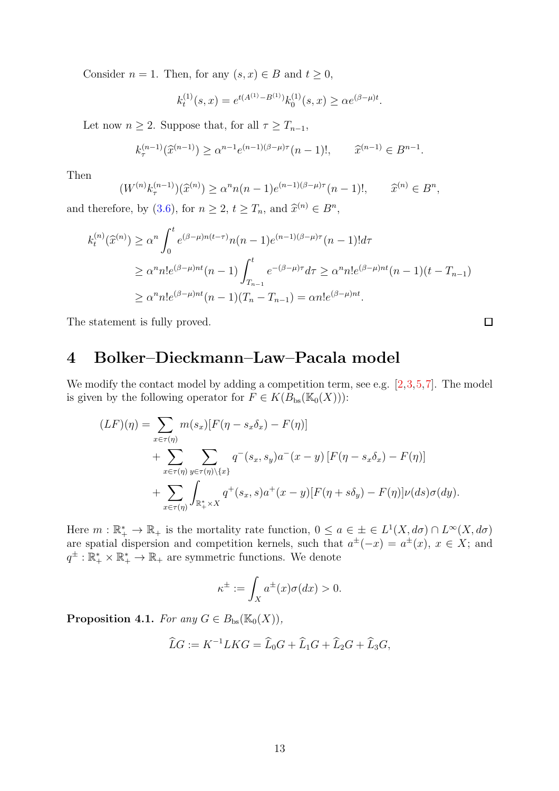Consider  $n = 1$ . Then, for any  $(s, x) \in B$  and  $t \geq 0$ ,

$$
k_t^{(1)}(s,x) = e^{t(A^{(1)} - B^{(1)})} k_0^{(1)}(s,x) \ge \alpha e^{(\beta - \mu)t}.
$$

Let now  $n \geq 2$ . Suppose that, for all  $\tau \geq T_{n-1}$ ,

$$
k_{\tau}^{(n-1)}(\widehat{x}^{(n-1)}) \ge \alpha^{n-1} e^{(n-1)(\beta - \mu)\tau} (n-1)!, \qquad \widehat{x}^{(n-1)} \in B^{n-1}.
$$

Then

$$
(W^{(n)}k_{\tau}^{(n-1)})(\widehat{x}^{(n)}) \ge \alpha^n n(n-1)e^{(n-1)(\beta-\mu)\tau}(n-1)!, \qquad \widehat{x}^{(n)} \in B^n,
$$

and therefore, by [\(3.6\)](#page-11-1), for  $n \ge 2$ ,  $t \ge T_n$ , and  $\widehat{x}^{(n)} \in B^n$ ,

$$
k_t^{(n)}(\widehat{x}^{(n)}) \ge \alpha^n \int_0^t e^{(\beta - \mu)n(t-\tau)} n(n-1) e^{(n-1)(\beta - \mu)\tau} (n-1)! d\tau
$$
  
 
$$
\ge \alpha^n n! e^{(\beta - \mu)nt} (n-1) \int_{T_{n-1}}^t e^{-(\beta - \mu)\tau} d\tau \ge \alpha^n n! e^{(\beta - \mu)nt} (n-1)(t - T_{n-1})
$$
  
 
$$
\ge \alpha^n n! e^{(\beta - \mu)nt} (n-1)(T_n - T_{n-1}) = \alpha n! e^{(\beta - \mu)nt}.
$$

The statement is fully proved.

## 4 Bolker–Dieckmann–Law–Pacala model

We modify the contact model by adding a competition term, see e.g.  $[2,3,5,7]$  $[2,3,5,7]$  $[2,3,5,7]$  $[2,3,5,7]$ . The model is given by the following operator for  $F \in K(B_{bs}(\mathbb{K}_0(X)))$ :

$$
(LF)(\eta) = \sum_{x \in \tau(\eta)} m(s_x) [F(\eta - s_x \delta_x) - F(\eta)]
$$
  
+ 
$$
\sum_{x \in \tau(\eta)} \sum_{y \in \tau(\eta) \setminus \{x\}} q^-(s_x, s_y) a^-(x - y) [F(\eta - s_x \delta_x) - F(\eta)]
$$
  
+ 
$$
\sum_{x \in \tau(\eta)} \int_{\mathbb{R}_+^* \times X} q^+(s_x, s) a^+(x - y) [F(\eta + s\delta_y) - F(\eta)] \nu(ds) \sigma(dy).
$$

Here  $m : \mathbb{R}_+^* \to \mathbb{R}_+$  is the mortality rate function,  $0 \le a \in \pm \in L^1(X, d\sigma) \cap L^{\infty}(X, d\sigma)$ are spatial dispersion and competition kernels, such that  $a^{\pm}(-x) = a^{\pm}(x)$ ,  $x \in X$ ; and  $q^{\pm}: \mathbb{R}_+^* \times \mathbb{R}_+^* \to \mathbb{R}_+$  are symmetric functions. We denote

$$
\kappa^{\pm} := \int_X a^{\pm}(x)\sigma(dx) > 0.
$$

**Proposition 4.1.** *For any*  $G \in B_{bs}(\mathbb{K}_0(X)),$ 

$$
\widehat{L}G := K^{-1}LKG = \widehat{L}_0G + \widehat{L}_1G + \widehat{L}_2G + \widehat{L}_3G,
$$

 $\Box$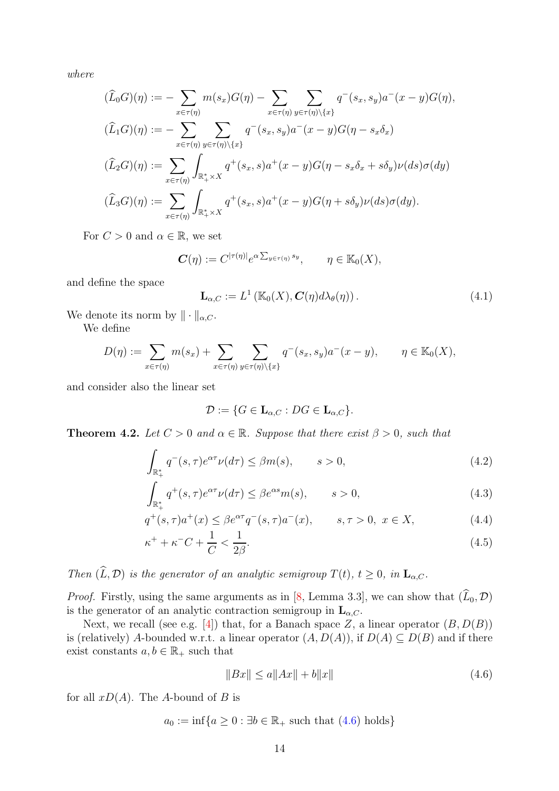*where*

$$
(\widehat{L}_0 G)(\eta) := -\sum_{x \in \tau(\eta)} m(s_x)G(\eta) - \sum_{x \in \tau(\eta)} \sum_{y \in \tau(\eta) \setminus \{x\}} q^-(s_x, s_y) a^-(x - y)G(\eta),
$$
  

$$
(\widehat{L}_1 G)(\eta) := -\sum_{x \in \tau(\eta)} \sum_{y \in \tau(\eta) \setminus \{x\}} q^-(s_x, s_y) a^-(x - y)G(\eta - s_x \delta_x)
$$
  

$$
(\widehat{L}_2 G)(\eta) := \sum_{x \in \tau(\eta)} \int_{\mathbb{R}_+^* \times X} q^+(s_x, s) a^+(x - y)G(\eta - s_x \delta_x + s \delta_y) \nu(ds) \sigma(dy)
$$
  

$$
(\widehat{L}_3 G)(\eta) := \sum_{x \in \tau(\eta)} \int_{\mathbb{R}_+^* \times X} q^+(s_x, s) a^+(x - y)G(\eta + s \delta_y) \nu(ds) \sigma(dy).
$$

For  $C > 0$  and  $\alpha \in \mathbb{R}$ , we set

$$
\mathbf{C}(\eta) := C^{|\tau(\eta)|} e^{\alpha \sum_{y \in \tau(\eta)} s_y}, \qquad \eta \in \mathbb{K}_0(X),
$$

and define the space

<span id="page-13-5"></span>
$$
\mathbf{L}_{\alpha,C} := L^1\left(\mathbb{K}_0(X), \mathbf{C}(\eta) d\lambda_{\theta}(\eta)\right). \tag{4.1}
$$

We denote its norm by  $\|\cdot\|_{\alpha,C}$ .

We define

$$
D(\eta) := \sum_{x \in \tau(\eta)} m(s_x) + \sum_{x \in \tau(\eta)} \sum_{y \in \tau(\eta) \setminus \{x\}} q^-(s_x, s_y) a^-(x - y), \qquad \eta \in \mathbb{K}_0(X),
$$

and consider also the linear set

<span id="page-13-3"></span><span id="page-13-2"></span><span id="page-13-1"></span>
$$
\mathcal{D} := \{ G \in \mathbf{L}_{\alpha,C} : DG \in \mathbf{L}_{\alpha,C} \}.
$$

**Theorem 4.2.** *Let*  $C > 0$  *and*  $\alpha \in \mathbb{R}$ *. Suppose that there exist*  $\beta > 0$ *, such that* 

$$
\int_{\mathbb{R}_+^*} q^-(s,\tau)e^{\alpha\tau}\nu(d\tau) \leq \beta m(s), \qquad s > 0,
$$
\n(4.2)

$$
\int_{\mathbb{R}_+^*} q^+(s,\tau)e^{\alpha\tau}\nu(d\tau) \le \beta e^{\alpha s}m(s), \qquad s > 0,
$$
\n(4.3)

$$
q^+(s,\tau)a^+(x) \le \beta e^{\alpha \tau} q^-(s,\tau)a^-(x), \qquad s,\tau > 0, \ x \in X,\tag{4.4}
$$

$$
\kappa^+ + \kappa^- C + \frac{1}{C} < \frac{1}{2\beta}.\tag{4.5}
$$

*Then*  $(\widehat{L}, \mathcal{D})$  *is the generator of an analytic semigroup*  $T(t)$ *,*  $t \geq 0$ *, in*  $\mathbf{L}_{\alpha, C}$ *.* 

*Proof.* Firstly, using the same arguments as in [\[8,](#page-19-0) Lemma 3.3], we can show that  $(\widehat{L}_0, \mathcal{D})$ is the generator of an analytic contraction semigroup in  $\mathbf{L}_{\alpha,C}$ .

Next, we recall (see e.g. [\[4\]](#page-19-7)) that, for a Banach space Z, a linear operator  $(B, D(B))$ is (relatively) A-bounded w.r.t. a linear operator  $(A, D(A))$ , if  $D(A) \subseteq D(B)$  and if there exist constants  $a, b \in \mathbb{R}_+$  such that

<span id="page-13-4"></span><span id="page-13-0"></span>
$$
||Bx|| \le a||Ax|| + b||x|| \tag{4.6}
$$

for all  $xD(A)$ . The A-bound of B is

$$
a_0 := \inf\{a \ge 0 : \exists b \in \mathbb{R}_+ \text{ such that } (4.6) \text{ holds}\}
$$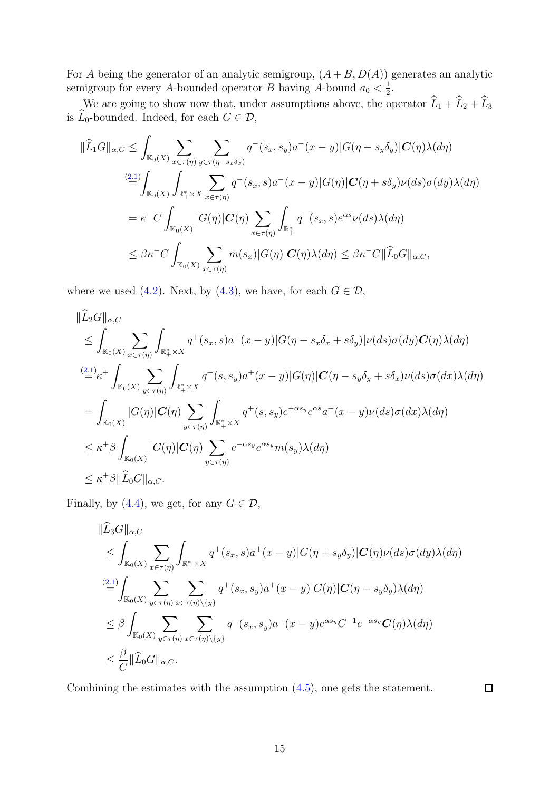For A being the generator of an analytic semigroup,  $(A + B, D(A))$  generates an analytic semigroup for every A-bounded operator B having A-bound  $a_0 < \frac{1}{2}$  $\frac{1}{2}$ .

We are going to show now that, under assumptions above, the operator  $L_1 + L_2 + L_3$ is  $L_0$ -bounded. Indeed, for each  $G \in \mathcal{D}$ ,

$$
\|\widehat{L}_1 G\|_{\alpha,C} \leq \int_{\mathbb{K}_0(X)} \sum_{x \in \tau(\eta)} \sum_{y \in \tau(\eta - s_x \delta_x)} q^-(s_x, s_y) a^-(x - y) |G(\eta - s_y \delta_y)| \mathbf{C}(\eta) \lambda(d\eta)
$$
  
\n
$$
\stackrel{(2.1)}{=} \int_{\mathbb{K}_0(X)} \int_{\mathbb{R}_+^* \times X} \sum_{x \in \tau(\eta)} q^-(s_x, s) a^-(x - y) |G(\eta)| \mathbf{C}(\eta + s \delta_y) \nu(ds) \sigma(dy) \lambda(d\eta)
$$
  
\n
$$
= \kappa^{-} C \int_{\mathbb{K}_0(X)} |G(\eta)| \mathbf{C}(\eta) \sum_{x \in \tau(\eta)} \int_{\mathbb{R}_+^*} q^-(s_x, s) e^{\alpha s} \nu(ds) \lambda(d\eta)
$$
  
\n
$$
\leq \beta \kappa^{-} C \int_{\mathbb{K}_0(X)} \sum_{x \in \tau(\eta)} m(s_x) |G(\eta)| \mathbf{C}(\eta) \lambda(d\eta) \leq \beta \kappa^{-} C \|\widehat{L}_0 G\|_{\alpha,C},
$$

where we used [\(4.2\)](#page-13-1). Next, by [\(4.3\)](#page-13-2), we have, for each  $G \in \mathcal{D}$ ,

$$
\|\widehat{L}_2 G\|_{\alpha,C}
$$
\n
$$
\leq \int_{\mathbb{K}_0(X)} \sum_{x \in \tau(\eta)} \int_{\mathbb{R}_+^* \times X} q^+(s_x, s) a^+(x - y) |G(\eta - s_x \delta_x + s \delta_y)| \nu(ds) \sigma(dy) \mathbf{C}(\eta) \lambda(d\eta)
$$
\n
$$
\stackrel{(2.1)}{=} \kappa^+ \int_{\mathbb{K}_0(X)} \sum_{y \in \tau(\eta)} \int_{\mathbb{R}_+^* \times X} q^+(s, s_y) a^+(x - y) |G(\eta)| \mathbf{C}(\eta - s_y \delta_y + s \delta_x) \nu(ds) \sigma(dx) \lambda(d\eta)
$$
\n
$$
= \int_{\mathbb{K}_0(X)} |G(\eta)| \mathbf{C}(\eta) \sum_{y \in \tau(\eta)} \int_{\mathbb{R}_+^* \times X} q^+(s, s_y) e^{-\alpha s_y} e^{\alpha s} a^+(x - y) \nu(ds) \sigma(dx) \lambda(d\eta)
$$
\n
$$
\leq \kappa^+ \beta \int_{\mathbb{K}_0(X)} |G(\eta)| \mathbf{C}(\eta) \sum_{y \in \tau(\eta)} e^{-\alpha s_y} e^{\alpha s_y} m(s_y) \lambda(d\eta)
$$
\n
$$
\leq \kappa^+ \beta \| \widehat{L}_0 G \|_{\alpha,C}.
$$

Finally, by [\(4.4\)](#page-13-3), we get, for any  $G \in \mathcal{D}$ ,

$$
||L_3G||_{\alpha,C}
$$
  
\n
$$
\leq \int_{\mathbb{K}_0(X)} \sum_{x \in \tau(\eta)} \int_{\mathbb{R}_+^* \times X} q^+(s_x, s) a^+(x - y) |G(\eta + s_y \delta_y)| \mathbf{C}(\eta) \nu(ds) \sigma(dy) \lambda(d\eta)
$$
  
\n
$$
\stackrel{(2.1)}{=} \int_{\mathbb{K}_0(X)} \sum_{y \in \tau(\eta)} \sum_{x \in \tau(\eta) \setminus \{y\}} q^+(s_x, s_y) a^+(x - y) |G(\eta)| \mathbf{C}(\eta - s_y \delta_y) \lambda(d\eta)
$$
  
\n
$$
\leq \beta \int_{\mathbb{K}_0(X)} \sum_{y \in \tau(\eta)} \sum_{x \in \tau(\eta) \setminus \{y\}} q^-(s_x, s_y) a^-(x - y) e^{\alpha s_y} \mathbf{C}^{-1} e^{-\alpha s_y} \mathbf{C}(\eta) \lambda(d\eta)
$$
  
\n
$$
\leq \frac{\beta}{C} ||\widehat{L}_0 G||_{\alpha,C}.
$$

Combining the estimates with the assumption [\(4.5\)](#page-13-4), one gets the statement.

 $\Box$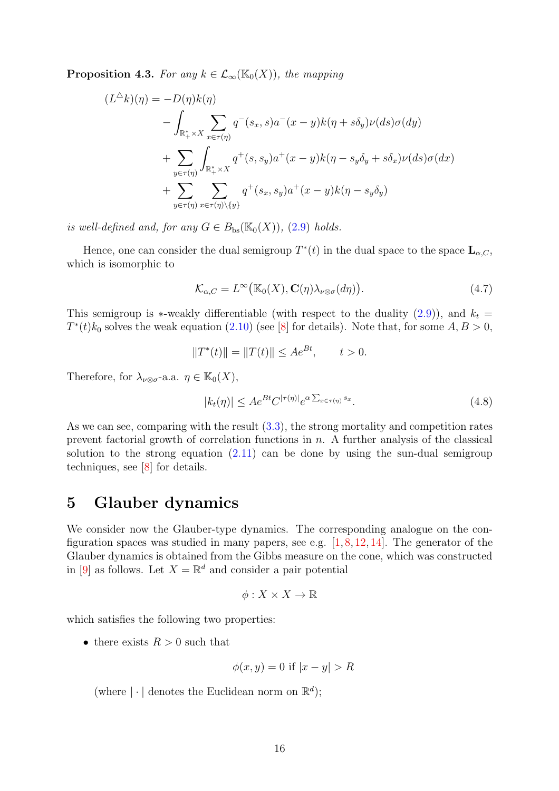**Proposition 4.3.** *For any*  $k \in \mathcal{L}_{\infty}(\mathbb{K}_0(X))$ *, the mapping* 

$$
(L^{\Delta}k)(\eta) = -D(\eta)k(\eta)
$$
  
 
$$
- \int_{\mathbb{R}_{+}^{*} \times X} \sum_{x \in \tau(\eta)} q^{-}(s_{x}, s)a^{-}(x - y)k(\eta + s\delta_{y})\nu(ds)\sigma(dy)
$$
  
 
$$
+ \sum_{y \in \tau(\eta)} \int_{\mathbb{R}_{+}^{*} \times X} q^{+}(s, s_{y})a^{+}(x - y)k(\eta - s_{y}\delta_{y} + s\delta_{x})\nu(ds)\sigma(dx)
$$
  
 
$$
+ \sum_{y \in \tau(\eta)} \sum_{x \in \tau(\eta)\setminus\{y\}} q^{+}(s_{x}, s_{y})a^{+}(x - y)k(\eta - s_{y}\delta_{y})
$$

*is well-defined and, for any*  $G \in B_{bs}(\mathbb{K}_0(X))$ , [\(2.9\)](#page-6-3) *holds.* 

Hence, one can consider the dual semigroup  $T^*(t)$  in the dual space to the space  $\mathbf{L}_{\alpha,C}$ , which is isomorphic to

<span id="page-15-0"></span>
$$
\mathcal{K}_{\alpha,C} = L^{\infty}(\mathbb{K}_0(X), \mathbf{C}(\eta)\lambda_{\nu\otimes\sigma}(d\eta)).
$$
\n(4.7)

This semigroup is \*-weakly differentiable (with respect to the duality  $(2.9)$ ), and  $k_t =$  $T^*(t)k_0$  solves the weak equation [\(2.10\)](#page-6-4) (see [\[8\]](#page-19-0) for details). Note that, for some  $A, B > 0$ ,

$$
||T^*(t)|| = ||T(t)|| \le Ae^{Bt}, \quad t > 0.
$$

Therefore, for  $\lambda_{\nu\otimes\sigma}$ -a.a.  $\eta \in \mathbb{K}_0(X)$ ,

<span id="page-15-1"></span>
$$
|k_t(\eta)| \le A e^{Bt} C^{|\tau(\eta)|} e^{\alpha \sum_{x \in \tau(\eta)} s_x}.
$$
\n(4.8)

As we can see, comparing with the result [\(3.3\)](#page-8-1), the strong mortality and competition rates prevent factorial growth of correlation functions in  $n$ . A further analysis of the classical solution to the strong equation  $(2.11)$  can be done by using the sun-dual semigroup techniques, see [\[8\]](#page-19-0) for details.

### 5 Glauber dynamics

We consider now the Glauber-type dynamics. The corresponding analogue on the configuration spaces was studied in many papers, see e.g.  $[1, 8, 12, 14]$  $[1, 8, 12, 14]$  $[1, 8, 12, 14]$  $[1, 8, 12, 14]$  $[1, 8, 12, 14]$  $[1, 8, 12, 14]$ . The generator of the Glauber dynamics is obtained from the Gibbs measure on the cone, which was constructed in [\[9\]](#page-19-1) as follows. Let  $X = \mathbb{R}^d$  and consider a pair potential

$$
\phi:X\times X\to\mathbb{R}
$$

which satisfies the following two properties:

• there exists  $R > 0$  such that

$$
\phi(x, y) = 0 \text{ if } |x - y| > R
$$

(where  $|\cdot|$  denotes the Euclidean norm on  $\mathbb{R}^d$ );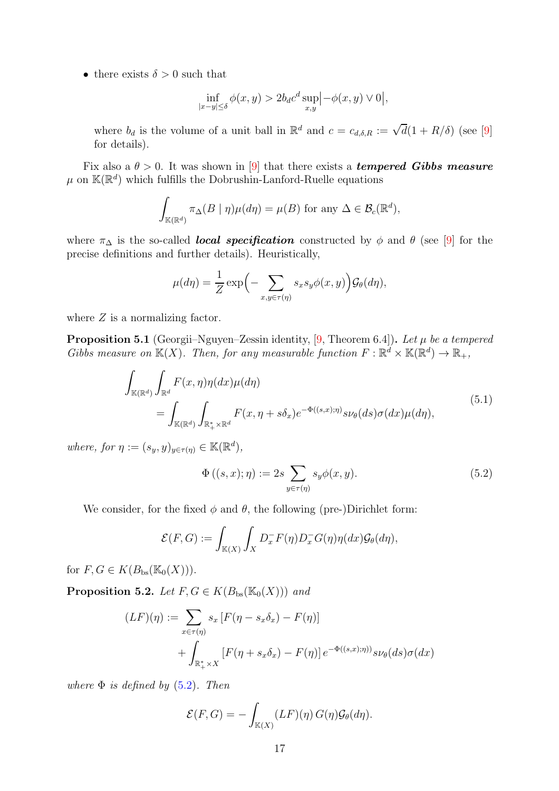• there exists  $\delta > 0$  such that

$$
\inf_{|x-y| \le \delta} \phi(x,y) > 2b_d c^d \sup_{x,y} \left| -\phi(x,y) \vee 0 \right|,
$$

where  $b_d$  is the volume of a unit ball in  $\mathbb{R}^d$  and  $c = c_{d,\delta,R} := \sqrt{d}(1 + R/\delta)$  (see [\[9\]](#page-19-1) for details).

Fix also a  $\theta > 0$ . It was shown in [\[9\]](#page-19-1) that there exists a **tempered Gibbs measure**  $\mu$  on  $\mathbb{K}(\mathbb{R}^d)$  which fulfills the Dobrushin-Lanford-Ruelle equations

$$
\int_{\mathbb{K}(\mathbb{R}^d)} \pi_{\Delta}(B \mid \eta) \mu(d\eta) = \mu(B) \text{ for any } \Delta \in \mathcal{B}_c(\mathbb{R}^d),
$$

where  $\pi_{\Delta}$  is the so-called **local specification** constructed by  $\phi$  and  $\theta$  (see [\[9\]](#page-19-1) for the precise definitions and further details). Heuristically,

$$
\mu(d\eta) = \frac{1}{Z} \exp\Big(-\sum_{x,y \in \tau(\eta)} s_x s_y \phi(x,y)\Big) \mathcal{G}_{\theta}(d\eta),
$$

where  $Z$  is a normalizing factor.

**Proposition 5.1** (Georgii–Nguyen–Zessin identity, [\[9,](#page-19-1) Theorem 6.4]). Let  $\mu$  be a tempered *Gibbs measure on*  $\mathbb{K}(X)$ *. Then, for any measurable function*  $F : \mathbb{R}^d \times \mathbb{K}(\mathbb{R}^d) \to \mathbb{R}_+$ *,* 

$$
\int_{\mathbb{K}(\mathbb{R}^d)} \int_{\mathbb{R}^d} F(x, \eta) \eta(dx) \mu(d\eta) \n= \int_{\mathbb{K}(\mathbb{R}^d)} \int_{\mathbb{R}_+^* \times \mathbb{R}^d} F(x, \eta + s\delta_x) e^{-\Phi((s, x); \eta)} s \nu_{\theta}(ds) \sigma(dx) \mu(d\eta),
$$
\n(5.1)

*where, for*  $\eta := (s_y, y)_{y \in \tau(\eta)} \in \mathbb{K}(\mathbb{R}^d)$ ,

<span id="page-16-1"></span><span id="page-16-0"></span>
$$
\Phi\left((s,x);\eta\right) := 2s \sum_{y \in \tau(\eta)} s_y \phi(x,y). \tag{5.2}
$$

We consider, for the fixed  $\phi$  and  $\theta$ , the following (pre-)Dirichlet form:

$$
\mathcal{E}(F,G) := \int_{\mathbb{K}(X)} \int_X D_x^- F(\eta) D_x^- G(\eta) \eta(dx) \mathcal{G}_{\theta}(d\eta),
$$

for  $F, G \in K(B_{bs}(\mathbb{K}_0(X)))$ .

**Proposition 5.2.** *Let*  $F, G \in K(B_{bs}(\mathbb{K}_0(X)))$  *and* 

$$
(LF)(\eta) := \sum_{x \in \tau(\eta)} s_x [F(\eta - s_x \delta_x) - F(\eta)]
$$
  
+ 
$$
\int_{\mathbb{R}_+^* \times X} [F(\eta + s_x \delta_x) - F(\eta)] e^{-\Phi((s,x);\eta))} s \nu_{\theta}(ds) \sigma(dx)
$$

*where* Φ *is defined by* [\(5.2\)](#page-16-0)*. Then*

$$
\mathcal{E}(F,G) = -\int_{\mathbb{K}(X)} (LF)(\eta) G(\eta) \mathcal{G}_{\theta}(d\eta).
$$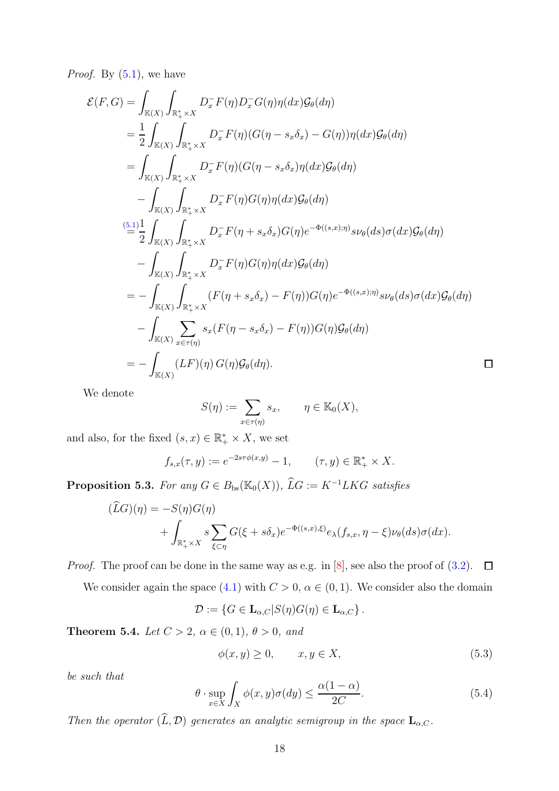*Proof.* By [\(5.1\)](#page-16-1), we have

$$
\mathcal{E}(F,G) = \int_{\mathbb{K}(X)} \int_{\mathbb{R}_+^* \times X} D_x^- F(\eta) D_x^- G(\eta) \eta(dx) \mathcal{G}_{\theta}(d\eta)
$$
  
\n
$$
= \frac{1}{2} \int_{\mathbb{K}(X)} \int_{\mathbb{R}_+^* \times X} D_x^- F(\eta) (G(\eta - s_x \delta_x) - G(\eta)) \eta(dx) \mathcal{G}_{\theta}(d\eta)
$$
  
\n
$$
= \int_{\mathbb{K}(X)} \int_{\mathbb{R}_+^* \times X} D_x^- F(\eta) (G(\eta - s_x \delta_x) \eta(dx) \mathcal{G}_{\theta}(d\eta)
$$
  
\n
$$
- \int_{\mathbb{K}(X)} \int_{\mathbb{R}_+^* \times X} D_x^- F(\eta) G(\eta) \eta(dx) \mathcal{G}_{\theta}(d\eta)
$$
  
\n
$$
= \frac{1}{2} \int_{\mathbb{K}(X)} \int_{\mathbb{R}_+^* \times X} D_x^- F(\eta + s_x \delta_x) G(\eta) e^{-\Phi((s,x);\eta)} s \nu_{\theta}(ds) \sigma(dx) \mathcal{G}_{\theta}(d\eta)
$$
  
\n
$$
- \int_{\mathbb{K}(X)} \int_{\mathbb{R}_+^* \times X} D_x^- F(\eta) G(\eta) \eta(dx) \mathcal{G}_{\theta}(d\eta)
$$
  
\n
$$
= - \int_{\mathbb{K}(X)} \int_{\mathbb{R}_+^* \times X} (F(\eta + s_x \delta_x) - F(\eta)) G(\eta) e^{-\Phi((s,x);\eta)} s \nu_{\theta}(ds) \sigma(dx) \mathcal{G}_{\theta}(d\eta)
$$
  
\n
$$
- \int_{\mathbb{K}(X)} \sum_{x \in \tau(\eta)} s_x (F(\eta - s_x \delta_x) - F(\eta)) G(\eta) \mathcal{G}_{\theta}(d\eta)
$$
  
\n
$$
= - \int_{\mathbb{K}(X)} (LF)(\eta) G(\eta) \mathcal{G}_{\theta}(d\eta).
$$

We denote

$$
S(\eta) := \sum_{x \in \tau(\eta)} s_x, \qquad \eta \in \mathbb{K}_0(X),
$$

and also, for the fixed  $(s, x) \in \mathbb{R}_+^* \times X$ , we set

$$
f_{s,x}(\tau, y) := e^{-2s\tau \phi(x,y)} - 1, \qquad (\tau, y) \in \mathbb{R}_+^* \times X.
$$

**Proposition 5.3.** *For any*  $G \in B_{bs}(\mathbb{K}_0(X))$ ,  $\widehat{L}G := K^{-1}LKG$  *satisfies* 

$$
(\widehat{L}G)(\eta) = -S(\eta)G(\eta)
$$
  
+ 
$$
\int_{\mathbb{R}_+^* \times X} s \sum_{\xi \subset \eta} G(\xi + s\delta_x) e^{-\Phi((s,x),\xi)} e_\lambda(f_{s,x}, \eta - \xi) \nu_\theta(ds) \sigma(dx).
$$

*Proof.* The proof can be done in the same way as e.g. in [\[8\]](#page-19-0), see also the proof of  $(3.2)$ .  $\Box$ 

We consider again the space [\(4.1\)](#page-13-5) with  $C > 0$ ,  $\alpha \in (0, 1)$ . We consider also the domain

$$
\mathcal{D} := \{ G \in \mathbf{L}_{\alpha,C} | S(\eta)G(\eta) \in \mathbf{L}_{\alpha,C} \} .
$$

**Theorem 5.4.** *Let*  $C > 2$ *,*  $\alpha \in (0, 1)$ *,*  $\theta > 0$ *, and* 

<span id="page-17-0"></span>
$$
\phi(x, y) \ge 0, \qquad x, y \in X,\tag{5.3}
$$

*be such that*

<span id="page-17-1"></span>
$$
\theta \cdot \sup_{x \in X} \int_{X} \phi(x, y)\sigma(dy) \le \frac{\alpha(1-\alpha)}{2C}.
$$
\n(5.4)

*Then the operator*  $(\widehat{L}, \mathcal{D})$  *generates an analytic semigroup in the space*  $\mathbf{L}_{\alpha,C}$ *.*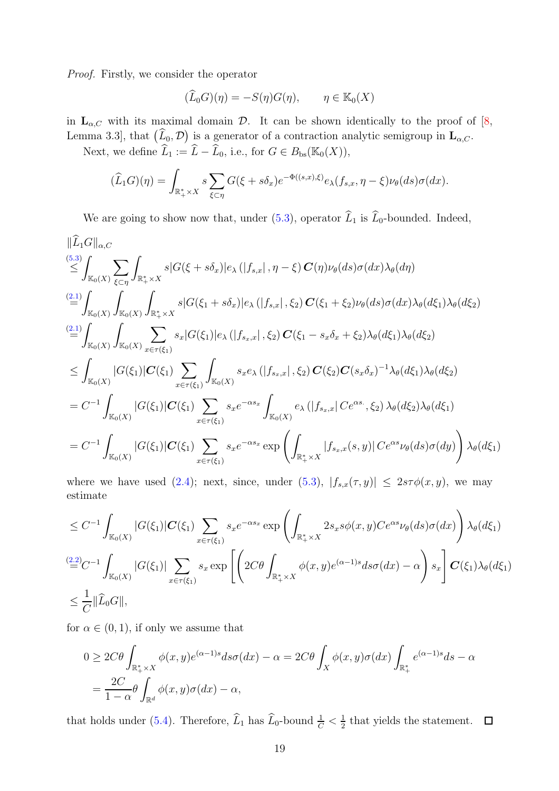*Proof.* Firstly, we consider the operator

$$
(\widehat{L}_0 G)(\eta) = -S(\eta)G(\eta), \qquad \eta \in \mathbb{K}_0(X)
$$

in  $\mathbf{L}_{\alpha,C}$  with its maximal domain  $\mathcal{D}$ . It can be shown identically to the proof of [\[8,](#page-19-0) Lemma 3.3, that  $(\widehat{L}_0, \mathcal{D})$  is a generator of a contraction analytic semigroup in  $\mathbf{L}_{\alpha,C}$ .

Next, we define  $\widehat{L}_1 := \widehat{L} - \widehat{L}_0$ , i.e., for  $G \in B_{bs}(\mathbb{K}_0(X)),$ 

$$
(\widehat{L}_1G)(\eta) = \int_{\mathbb{R}_+^* \times X} s \sum_{\xi \subset \eta} G(\xi + s\delta_x) e^{-\Phi((s,x),\xi)} e_{\lambda}(f_{s,x}, \eta - \xi) \nu_{\theta}(ds) \sigma(dx).
$$

We are going to show now that, under [\(5.3\)](#page-17-0), operator  $\widehat{L}_1$  is  $\widehat{L}_0$ -bounded. Indeed,

$$
\|\hat{L}_{1}G\|_{\alpha,C}
$$
\n(5.3)  
\n
$$
\leq \int_{\mathbb{K}_{0}(X)} \sum_{\xi\subset\eta} \int_{\mathbb{R}_{+}^{*}\times X} s|G(\xi+s\delta_{x})|e_{\lambda}(|f_{s,x}|, \eta-\xi) C(\eta)\nu_{\theta}(ds)\sigma(dx)\lambda_{\theta}(d\eta)
$$
\n(2.1)  
\n
$$
\leq \int_{\mathbb{K}_{0}(X)} \int_{\mathbb{K}_{0}(X)} \int_{\mathbb{R}_{+}^{*}\times X} s|G(\xi_{1}+s\delta_{x})|e_{\lambda}(|f_{s,x}|, \xi_{2}) C(\xi_{1}+\xi_{2})\nu_{\theta}(ds)\sigma(dx)\lambda_{\theta}(d\xi_{1})\lambda_{\theta}(d\xi_{2})
$$
\n(2.1)  
\n
$$
\leq \int_{\mathbb{K}_{0}(X)} \int_{\mathbb{K}_{0}(X)} \sum_{x\in\tau(\xi_{1})} s_{x}|G(\xi_{1})|e_{\lambda}(|f_{s_{x},x}|, \xi_{2}) C(\xi_{1}-s_{x}\delta_{x}+\xi_{2})\lambda_{\theta}(d\xi_{1})\lambda_{\theta}(d\xi_{2})
$$
\n
$$
\leq \int_{\mathbb{K}_{0}(X)} |G(\xi_{1})|C(\xi_{1}) \sum_{x\in\tau(\xi_{1})} \int_{\mathbb{K}_{0}(X)} s_{x}e_{\lambda}(|f_{s_{x},x}|, \xi_{2}) C(\xi_{2}) C(s_{x}\delta_{x})^{-1}\lambda_{\theta}(d\xi_{1})\lambda_{\theta}(d\xi_{2})
$$
\n
$$
= C^{-1} \int_{\mathbb{K}_{0}(X)} |G(\xi_{1})|C(\xi_{1}) \sum_{x\in\tau(\xi_{1})} s_{x}e^{-\alpha s_{x}} \int_{\mathbb{K}_{0}(X)} e_{\lambda}(|f_{s_{x},x}| Ce^{\alpha s}, \xi_{2}) \lambda_{\theta}(d\xi_{2})\lambda_{\theta}(d\xi_{1})
$$
\n
$$
= C^{-1} \int_{\mathbb{K}_{0}(X)} |G(\xi_{1})|C(\xi_{1}) \sum_{x\in\tau(\xi_{1})} s_{x}e^{-\alpha s_{x}} \exp\left(\int_{\mathbb{R}_{+}^{*}\times X} |f_{s_{x},x
$$

where we have used [\(2.4\)](#page-4-1); next, since, under [\(5.3\)](#page-17-0),  $|f_{s,x}(\tau,y)| \leq 2s\tau\phi(x,y)$ , we may estimate

$$
\leq C^{-1} \int_{\mathbb{K}_{0}(X)} |G(\xi_{1})| \mathbf{C}(\xi_{1}) \sum_{x \in \tau(\xi_{1})} s_{x} e^{-\alpha s_{x}} \exp \left( \int_{\mathbb{R}_{+}^{*} \times X} 2s_{x} s\phi(x, y) C e^{\alpha s} \nu_{\theta}(ds) \sigma(dx) \right) \lambda_{\theta}(d\xi_{1})
$$
\n
$$
\stackrel{(2.2)}{=} C^{-1} \int_{\mathbb{K}_{0}(X)} |G(\xi_{1})| \sum_{x \in \tau(\xi_{1})} s_{x} \exp \left[ \left( 2C\theta \int_{\mathbb{R}_{+}^{*} \times X} \phi(x, y) e^{(\alpha - 1)s} ds \sigma(dx) - \alpha \right) s_{x} \right] \mathbf{C}(\xi_{1}) \lambda_{\theta}(d\xi_{1})
$$
\n
$$
\leq \frac{1}{C} ||\widehat{L}_{0}G||,
$$

for  $\alpha \in (0, 1)$ , if only we assume that

$$
0 \ge 2C\theta \int_{\mathbb{R}_+^* \times X} \phi(x, y) e^{(\alpha - 1)s} ds \sigma(dx) - \alpha = 2C\theta \int_X \phi(x, y) \sigma(dx) \int_{\mathbb{R}_+^*} e^{(\alpha - 1)s} ds - \alpha = \frac{2C}{1 - \alpha} \theta \int_{\mathbb{R}^d} \phi(x, y) \sigma(dx) - \alpha,
$$

that holds under [\(5.4\)](#page-17-1). Therefore,  $\widehat{L}_1$  has  $\widehat{L}_0$ -bound  $\frac{1}{C} < \frac{1}{2}$  $\frac{1}{2}$  that yields the statement.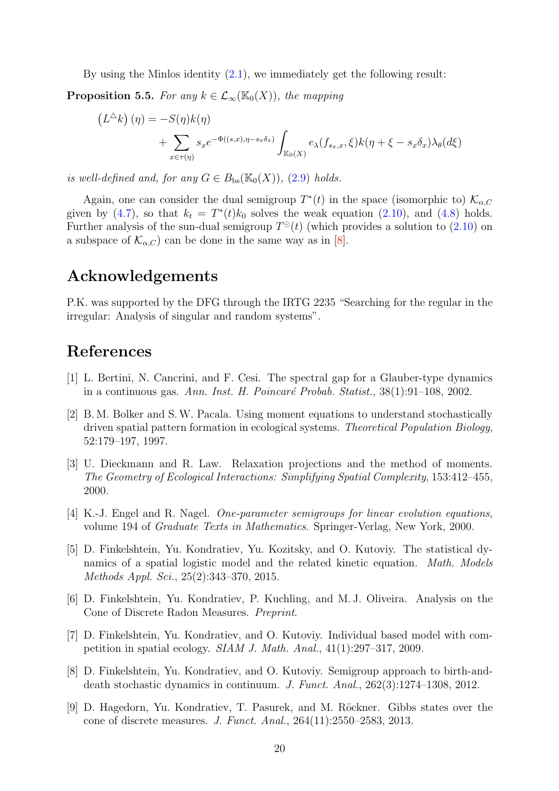By using the Minlos identity [\(2.1\)](#page-3-1), we immediately get the following result:

**Proposition 5.5.** *For any*  $k \in \mathcal{L}_{\infty}(\mathbb{K}_0(X))$ *, the mapping* 

$$
(L^{\Delta}k) (\eta) = -S(\eta)k(\eta)
$$
  
+ 
$$
\sum_{x \in \tau(\eta)} s_x e^{-\Phi((s,x), \eta - s_x \delta_x)} \int_{\mathbb{K}_0(X)} e_{\lambda}(f_{s_x,x}, \xi)k(\eta + \xi - s_x \delta_x) \lambda_{\theta}(d\xi)
$$

*is well-defined and, for any*  $G \in B_{bs}(\mathbb{K}_0(X))$ , [\(2.9\)](#page-6-3) *holds.* 

Again, one can consider the dual semigroup  $T^*(t)$  in the space (isomorphic to)  $\mathcal{K}_{\alpha,C}$ given by [\(4.7\)](#page-15-0), so that  $k_t = T^*(t)k_0$  solves the weak equation [\(2.10\)](#page-6-4), and [\(4.8\)](#page-15-1) holds. Further analysis of the sun-dual semigroup  $T^{\odot}(t)$  (which provides a solution to  $(2.10)$  on a subspace of  $\mathcal{K}_{\alpha,C}$  can be done in the same way as in [\[8\]](#page-19-0).

# Acknowledgements

P.K. was supported by the DFG through the IRTG 2235 "Searching for the regular in the irregular: Analysis of singular and random systems".

# <span id="page-19-8"></span>References

- <span id="page-19-3"></span>[1] L. Bertini, N. Cancrini, and F. Cesi. The spectral gap for a Glauber-type dynamics in a continuous gas. *Ann. Inst. H. Poincar´e Probab. Statist.*, 38(1):91–108, 2002.
- [2] B. M. Bolker and S.W. Pacala. Using moment equations to understand stochastically driven spatial pattern formation in ecological systems. *Theoretical Population Biology*, 52:179–197, 1997.
- <span id="page-19-4"></span>[3] U. Dieckmann and R. Law. Relaxation projections and the method of moments. *The Geometry of Ecological Interactions: Simplifying Spatial Complexity*, 153:412–455, 2000.
- <span id="page-19-7"></span><span id="page-19-5"></span>[4] K.-J. Engel and R. Nagel. *One-parameter semigroups for linear evolution equations*, volume 194 of *Graduate Texts in Mathematics*. Springer-Verlag, New York, 2000.
- [5] D. Finkelshtein, Yu. Kondratiev, Yu. Kozitsky, and O. Kutoviy. The statistical dynamics of a spatial logistic model and the related kinetic equation. *Math. Models Methods Appl. Sci.*, 25(2):343–370, 2015.
- <span id="page-19-2"></span>[6] D. Finkelshtein, Yu. Kondratiev, P. Kuchling, and M. J. Oliveira. Analysis on the Cone of Discrete Radon Measures. *Preprint*.
- <span id="page-19-6"></span>[7] D. Finkelshtein, Yu. Kondratiev, and O. Kutoviy. Individual based model with competition in spatial ecology. *SIAM J. Math. Anal.*, 41(1):297–317, 2009.
- <span id="page-19-0"></span>[8] D. Finkelshtein, Yu. Kondratiev, and O. Kutoviy. Semigroup approach to birth-anddeath stochastic dynamics in continuum. *J. Funct. Anal.*, 262(3):1274–1308, 2012.
- <span id="page-19-1"></span>[9] D. Hagedorn, Yu. Kondratiev, T. Pasurek, and M. Röckner. Gibbs states over the cone of discrete measures. *J. Funct. Anal.*, 264(11):2550–2583, 2013.